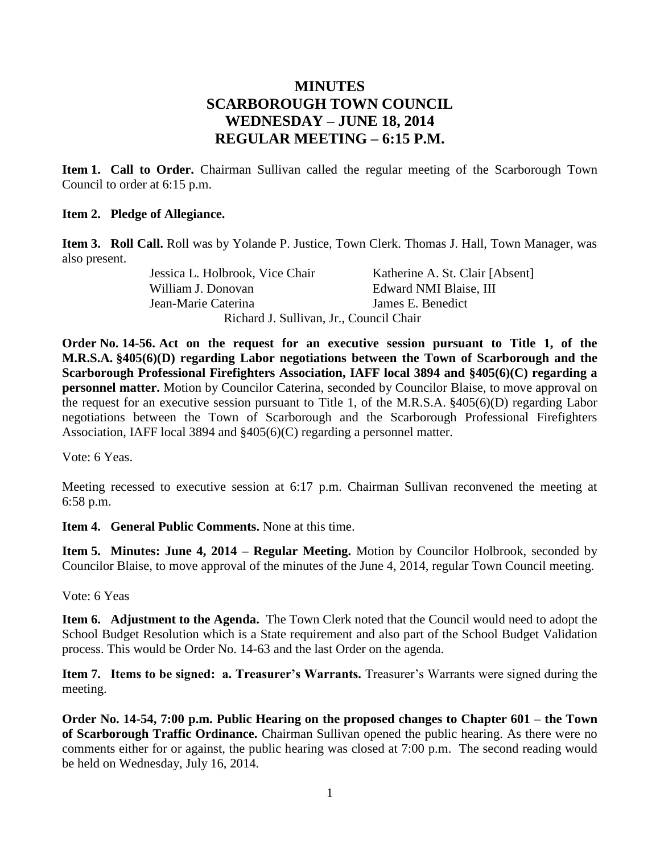## **MINUTES SCARBOROUGH TOWN COUNCIL WEDNESDAY – JUNE 18, 2014 REGULAR MEETING – 6:15 P.M.**

**Item 1. Call to Order.** Chairman Sullivan called the regular meeting of the Scarborough Town Council to order at 6:15 p.m.

### **Item 2. Pledge of Allegiance.**

**Item 3. Roll Call.** Roll was by Yolande P. Justice, Town Clerk. Thomas J. Hall, Town Manager, was also present.

> Jessica L. Holbrook, Vice Chair Katherine A. St. Clair [Absent] William J. Donovan **Edward NMI Blaise**, III Jean-Marie Caterina James E. Benedict Richard J. Sullivan, Jr., Council Chair

**Order No. 14-56. Act on the request for an executive session pursuant to Title 1, of the M.R.S.A. §405(6)(D) regarding Labor negotiations between the Town of Scarborough and the Scarborough Professional Firefighters Association, IAFF local 3894 and §405(6)(C) regarding a personnel matter.** Motion by Councilor Caterina, seconded by Councilor Blaise, to move approval on the request for an executive session pursuant to Title 1, of the M.R.S.A. §405(6)(D) regarding Labor negotiations between the Town of Scarborough and the Scarborough Professional Firefighters Association, IAFF local 3894 and §405(6)(C) regarding a personnel matter.

Vote: 6 Yeas.

Meeting recessed to executive session at 6:17 p.m. Chairman Sullivan reconvened the meeting at 6:58 p.m.

**Item 4. General Public Comments.** None at this time.

**Item 5. Minutes: June 4, 2014 – Regular Meeting.** Motion by Councilor Holbrook, seconded by Councilor Blaise, to move approval of the minutes of the June 4, 2014, regular Town Council meeting.

Vote: 6 Yeas

**Item 6. Adjustment to the Agenda.** The Town Clerk noted that the Council would need to adopt the School Budget Resolution which is a State requirement and also part of the School Budget Validation process. This would be Order No. 14-63 and the last Order on the agenda.

**Item 7. Items to be signed: a. Treasurer's Warrants.** Treasurer's Warrants were signed during the meeting.

**Order No. 14-54, 7:00 p.m. Public Hearing on the proposed changes to Chapter 601 – the Town of Scarborough Traffic Ordinance.** Chairman Sullivan opened the public hearing. As there were no comments either for or against, the public hearing was closed at 7:00 p.m. The second reading would be held on Wednesday, July 16, 2014.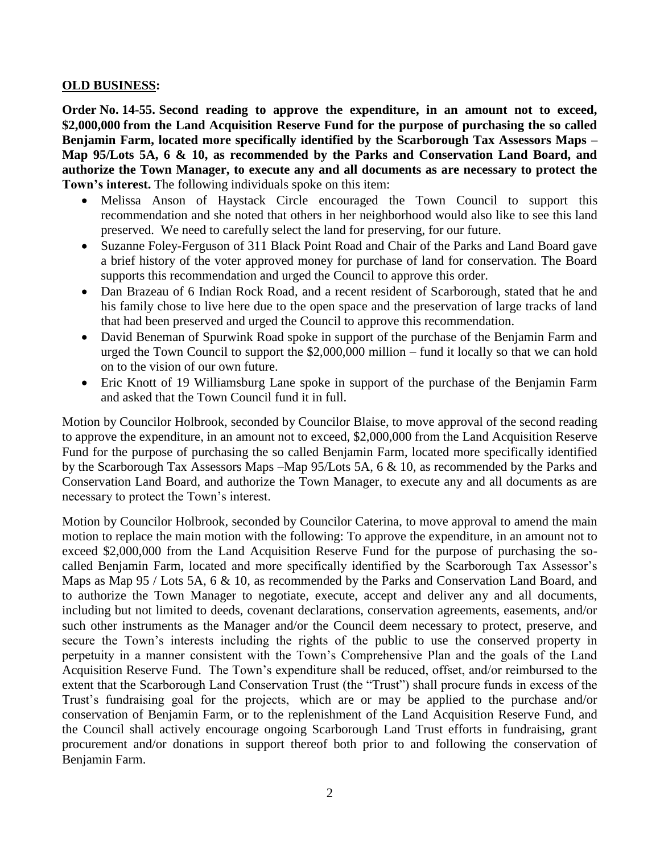### **OLD BUSINESS:**

**Order No. 14-55. Second reading to approve the expenditure, in an amount not to exceed, \$2,000,000 from the Land Acquisition Reserve Fund for the purpose of purchasing the so called Benjamin Farm, located more specifically identified by the Scarborough Tax Assessors Maps – Map 95/Lots 5A, 6 & 10, as recommended by the Parks and Conservation Land Board, and authorize the Town Manager, to execute any and all documents as are necessary to protect the Town's interest.** The following individuals spoke on this item:

- Melissa Anson of Haystack Circle encouraged the Town Council to support this recommendation and she noted that others in her neighborhood would also like to see this land preserved. We need to carefully select the land for preserving, for our future.
- Suzanne Foley-Ferguson of 311 Black Point Road and Chair of the Parks and Land Board gave a brief history of the voter approved money for purchase of land for conservation. The Board supports this recommendation and urged the Council to approve this order.
- Dan Brazeau of 6 Indian Rock Road, and a recent resident of Scarborough, stated that he and his family chose to live here due to the open space and the preservation of large tracks of land that had been preserved and urged the Council to approve this recommendation.
- David Beneman of Spurwink Road spoke in support of the purchase of the Benjamin Farm and urged the Town Council to support the \$2,000,000 million – fund it locally so that we can hold on to the vision of our own future.
- Eric Knott of 19 Williamsburg Lane spoke in support of the purchase of the Benjamin Farm and asked that the Town Council fund it in full.

Motion by Councilor Holbrook, seconded by Councilor Blaise, to move approval of the second reading to approve the expenditure, in an amount not to exceed, \$2,000,000 from the Land Acquisition Reserve Fund for the purpose of purchasing the so called Benjamin Farm, located more specifically identified by the Scarborough Tax Assessors Maps –Map 95/Lots 5A, 6 & 10, as recommended by the Parks and Conservation Land Board, and authorize the Town Manager, to execute any and all documents as are necessary to protect the Town's interest.

Motion by Councilor Holbrook, seconded by Councilor Caterina, to move approval to amend the main motion to replace the main motion with the following: To approve the expenditure, in an amount not to exceed \$2,000,000 from the Land Acquisition Reserve Fund for the purpose of purchasing the socalled Benjamin Farm, located and more specifically identified by the Scarborough Tax Assessor's Maps as Map 95 / Lots 5A, 6 & 10, as recommended by the Parks and Conservation Land Board, and to authorize the Town Manager to negotiate, execute, accept and deliver any and all documents, including but not limited to deeds, covenant declarations, conservation agreements, easements, and/or such other instruments as the Manager and/or the Council deem necessary to protect, preserve, and secure the Town's interests including the rights of the public to use the conserved property in perpetuity in a manner consistent with the Town's Comprehensive Plan and the goals of the Land Acquisition Reserve Fund. The Town's expenditure shall be reduced, offset, and/or reimbursed to the extent that the Scarborough Land Conservation Trust (the "Trust") shall procure funds in excess of the Trust's fundraising goal for the projects, which are or may be applied to the purchase and/or conservation of Benjamin Farm, or to the replenishment of the Land Acquisition Reserve Fund, and the Council shall actively encourage ongoing Scarborough Land Trust efforts in fundraising, grant procurement and/or donations in support thereof both prior to and following the conservation of Benjamin Farm.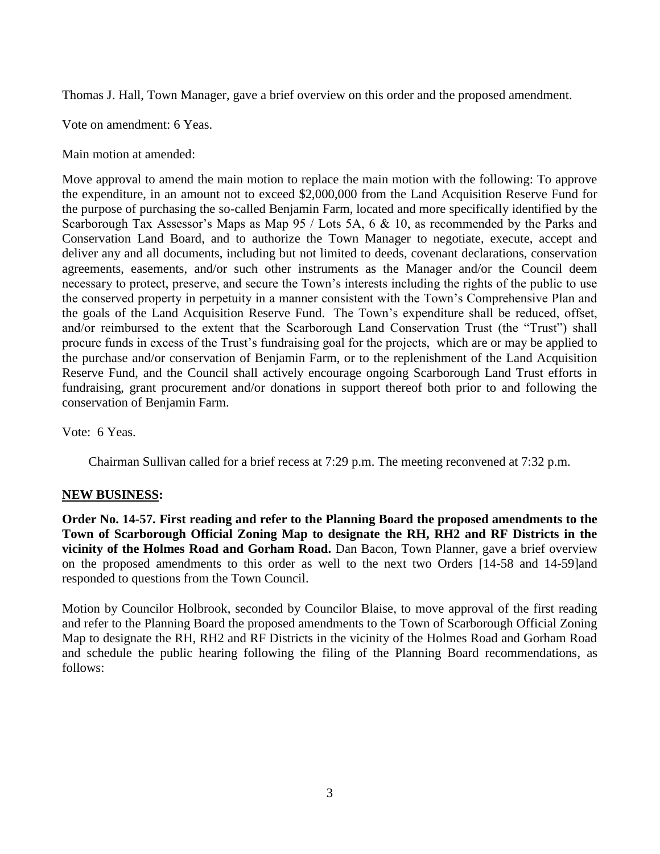Thomas J. Hall, Town Manager, gave a brief overview on this order and the proposed amendment.

Vote on amendment: 6 Yeas.

Main motion at amended:

Move approval to amend the main motion to replace the main motion with the following: To approve the expenditure, in an amount not to exceed \$2,000,000 from the Land Acquisition Reserve Fund for the purpose of purchasing the so-called Benjamin Farm, located and more specifically identified by the Scarborough Tax Assessor's Maps as Map 95 / Lots 5A, 6 & 10, as recommended by the Parks and Conservation Land Board, and to authorize the Town Manager to negotiate, execute, accept and deliver any and all documents, including but not limited to deeds, covenant declarations, conservation agreements, easements, and/or such other instruments as the Manager and/or the Council deem necessary to protect, preserve, and secure the Town's interests including the rights of the public to use the conserved property in perpetuity in a manner consistent with the Town's Comprehensive Plan and the goals of the Land Acquisition Reserve Fund. The Town's expenditure shall be reduced, offset, and/or reimbursed to the extent that the Scarborough Land Conservation Trust (the "Trust") shall procure funds in excess of the Trust's fundraising goal for the projects, which are or may be applied to the purchase and/or conservation of Benjamin Farm, or to the replenishment of the Land Acquisition Reserve Fund, and the Council shall actively encourage ongoing Scarborough Land Trust efforts in fundraising, grant procurement and/or donations in support thereof both prior to and following the conservation of Benjamin Farm.

Vote: 6 Yeas.

Chairman Sullivan called for a brief recess at 7:29 p.m. The meeting reconvened at 7:32 p.m.

### **NEW BUSINESS:**

**Order No. 14-57. First reading and refer to the Planning Board the proposed amendments to the Town of Scarborough Official Zoning Map to designate the RH, RH2 and RF Districts in the vicinity of the Holmes Road and Gorham Road.** Dan Bacon, Town Planner, gave a brief overview on the proposed amendments to this order as well to the next two Orders [14-58 and 14-59]and responded to questions from the Town Council.

Motion by Councilor Holbrook, seconded by Councilor Blaise, to move approval of the first reading and refer to the Planning Board the proposed amendments to the Town of Scarborough Official Zoning Map to designate the RH, RH2 and RF Districts in the vicinity of the Holmes Road and Gorham Road and schedule the public hearing following the filing of the Planning Board recommendations, as follows: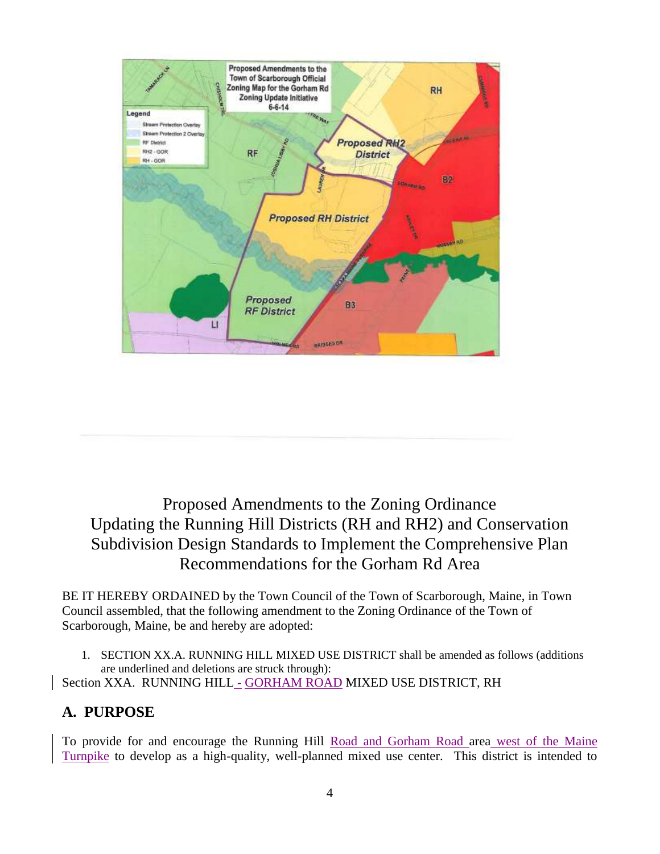

# Proposed Amendments to the Zoning Ordinance Updating the Running Hill Districts (RH and RH2) and Conservation Subdivision Design Standards to Implement the Comprehensive Plan Recommendations for the Gorham Rd Area

BE IT HEREBY ORDAINED by the Town Council of the Town of Scarborough, Maine, in Town Council assembled, that the following amendment to the Zoning Ordinance of the Town of Scarborough, Maine, be and hereby are adopted:

1. SECTION XX.A. RUNNING HILL MIXED USE DISTRICT shall be amended as follows (additions are underlined and deletions are struck through):

Section XXA. RUNNING HILL - GORHAM ROAD MIXED USE DISTRICT, RH

# **A. PURPOSE**

To provide for and encourage the Running Hill Road and Gorham Road area west of the Maine Turnpike to develop as a high-quality, well-planned mixed use center. This district is intended to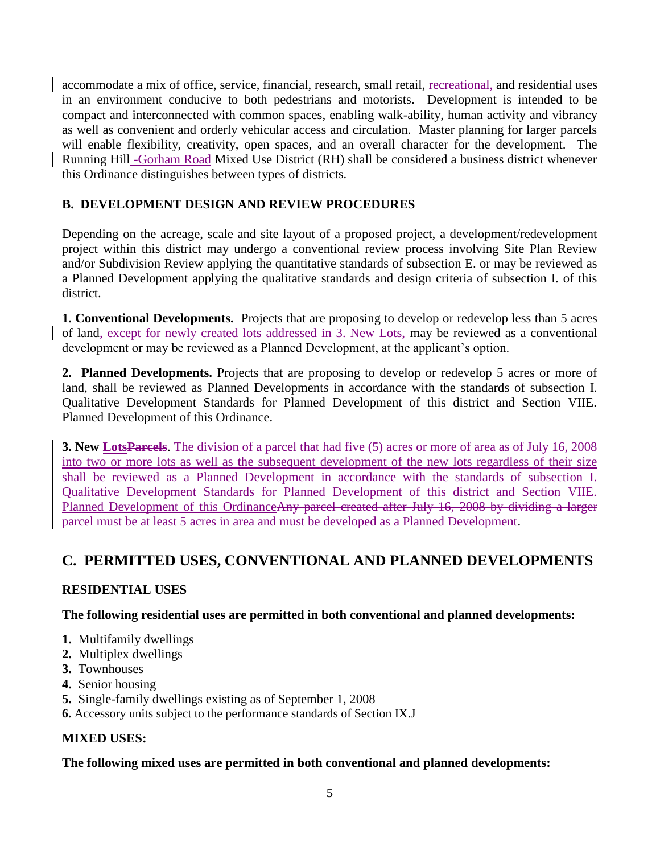accommodate a mix of office, service, financial, research, small retail, recreational, and residential uses in an environment conducive to both pedestrians and motorists. Development is intended to be compact and interconnected with common spaces, enabling walk-ability, human activity and vibrancy as well as convenient and orderly vehicular access and circulation. Master planning for larger parcels will enable flexibility, creativity, open spaces, and an overall character for the development. The Running Hill -Gorham Road Mixed Use District (RH) shall be considered a business district whenever this Ordinance distinguishes between types of districts.

## **B. DEVELOPMENT DESIGN AND REVIEW PROCEDURES**

Depending on the acreage, scale and site layout of a proposed project, a development/redevelopment project within this district may undergo a conventional review process involving Site Plan Review and/or Subdivision Review applying the quantitative standards of subsection E. or may be reviewed as a Planned Development applying the qualitative standards and design criteria of subsection I. of this district.

**1. Conventional Developments.** Projects that are proposing to develop or redevelop less than 5 acres of land, except for newly created lots addressed in 3. New Lots, may be reviewed as a conventional development or may be reviewed as a Planned Development, at the applicant's option.

**2. Planned Developments.** Projects that are proposing to develop or redevelop 5 acres or more of land, shall be reviewed as Planned Developments in accordance with the standards of subsection I. Qualitative Development Standards for Planned Development of this district and Section VIIE. Planned Development of this Ordinance.

**3. New Lots Parcels**. The division of a parcel that had five (5) acres or more of area as of July 16, 2008 into two or more lots as well as the subsequent development of the new lots regardless of their size shall be reviewed as a Planned Development in accordance with the standards of subsection I. Qualitative Development Standards for Planned Development of this district and Section VIIE. Planned Development of this OrdinanceAny parcel created after July 16, 2008 by dividing a larger parcel must be at least 5 acres in area and must be developed as a Planned Development.

# **C. PERMITTED USES, CONVENTIONAL AND PLANNED DEVELOPMENTS**

## **RESIDENTIAL USES**

**The following residential uses are permitted in both conventional and planned developments:**

- **1.** Multifamily dwellings
- **2.** Multiplex dwellings
- **3.** Townhouses
- **4.** Senior housing
- **5.** Single-family dwellings existing as of September 1, 2008
- **6.** Accessory units subject to the performance standards of Section IX.J

## **MIXED USES:**

### **The following mixed uses are permitted in both conventional and planned developments:**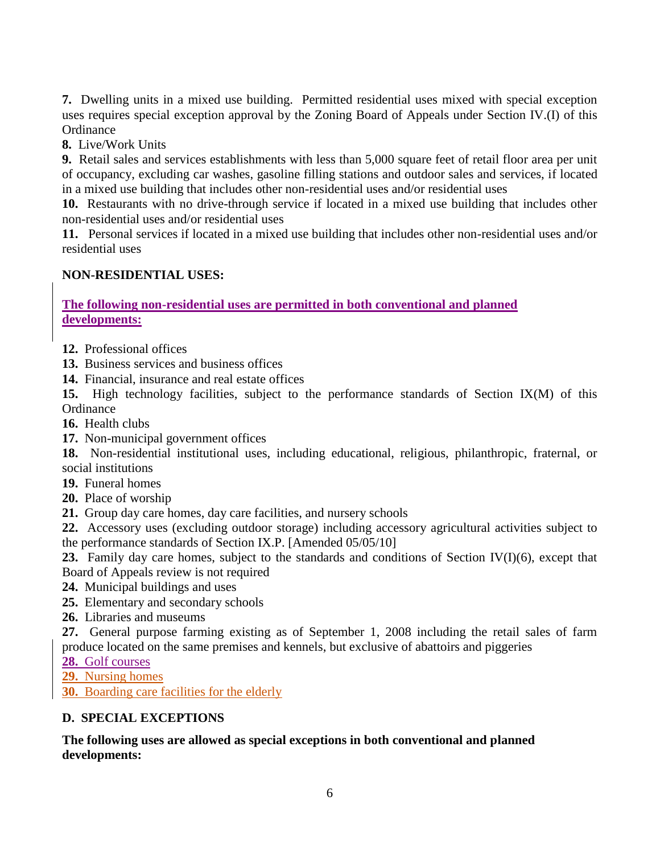**7.** Dwelling units in a mixed use building. Permitted residential uses mixed with special exception uses requires special exception approval by the Zoning Board of Appeals under Section IV.(I) of this **Ordinance** 

**8.** Live/Work Units

**9.** Retail sales and services establishments with less than 5,000 square feet of retail floor area per unit of occupancy, excluding car washes, gasoline filling stations and outdoor sales and services, if located in a mixed use building that includes other non-residential uses and/or residential uses

**10.** Restaurants with no drive-through service if located in a mixed use building that includes other non-residential uses and/or residential uses

**11.** Personal services if located in a mixed use building that includes other non-residential uses and/or residential uses

### **NON-RESIDENTIAL USES:**

### **The following non-residential uses are permitted in both conventional and planned developments:**

**12.** Professional offices

**13.** Business services and business offices

**14.** Financial, insurance and real estate offices

**15.** High technology facilities, subject to the performance standards of Section IX(M) of this **Ordinance** 

- **16.** Health clubs
- **17.** Non-municipal government offices

**18.** Non-residential institutional uses, including educational, religious, philanthropic, fraternal, or social institutions

- **19.** Funeral homes
- **20.** Place of worship

**21.** Group day care homes, day care facilities, and nursery schools

**22.** Accessory uses (excluding outdoor storage) including accessory agricultural activities subject to the performance standards of Section IX.P. [Amended 05/05/10]

**23.** Family day care homes, subject to the standards and conditions of Section IV(I)(6), except that Board of Appeals review is not required

- **24.** Municipal buildings and uses
- **25.** Elementary and secondary schools
- **26.** Libraries and museums

**27.** General purpose farming existing as of September 1, 2008 including the retail sales of farm produce located on the same premises and kennels, but exclusive of abattoirs and piggeries

**28.** Golf courses

**29.** Nursing homes

**30.** Boarding care facilities for the elderly

## **D. SPECIAL EXCEPTIONS**

### **The following uses are allowed as special exceptions in both conventional and planned developments:**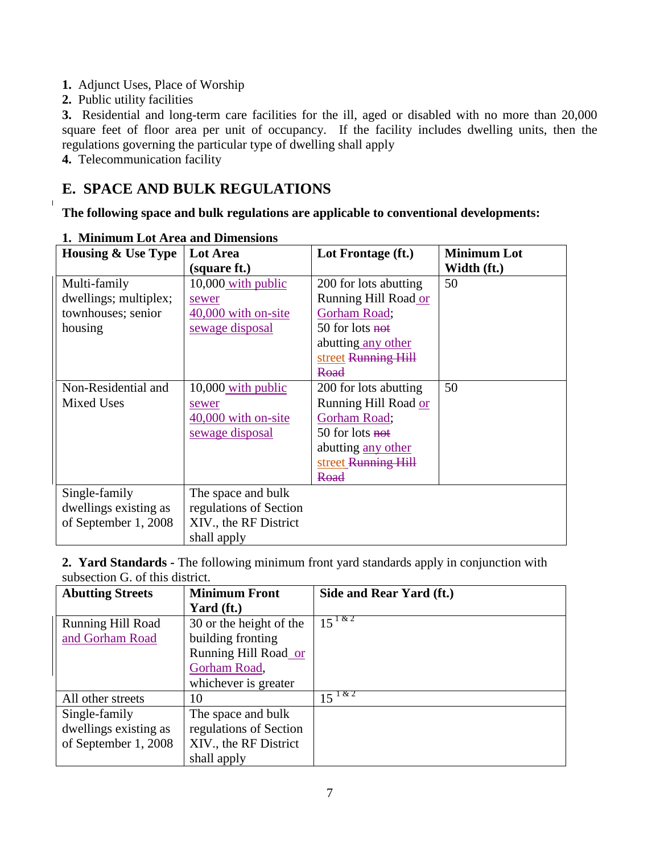- **1.** Adjunct Uses, Place of Worship
- **2.** Public utility facilities

 $\mathbf{I}$ 

**3.** Residential and long-term care facilities for the ill, aged or disabled with no more than 20,000 square feet of floor area per unit of occupancy. If the facility includes dwelling units, then the regulations governing the particular type of dwelling shall apply

**4.** Telecommunication facility

# **E. SPACE AND BULK REGULATIONS**

**The following space and bulk regulations are applicable to conventional developments:**

| <b>Housing &amp; Use Type</b> | <b>Lot Area</b>        | Lot Frontage (ft.)         | <b>Minimum Lot</b> |
|-------------------------------|------------------------|----------------------------|--------------------|
|                               | (square ft.)           |                            | Width (ft.)        |
| Multi-family                  | 10,000 with public     | 200 for lots abutting      | 50                 |
| dwellings; multiplex;         | sewer                  | Running Hill Road or       |                    |
| townhouses; senior            | 40,000 with on-site    | Gorham Road;               |                    |
| housing                       | sewage disposal        | 50 for lots not            |                    |
|                               |                        | abutting any other         |                    |
|                               |                        | street Running Hill        |                    |
|                               |                        | Road                       |                    |
| Non-Residential and           | $10,000$ with public   | 200 for lots abutting      | 50                 |
| <b>Mixed Uses</b>             | sewer                  | Running Hill Road or       |                    |
|                               | 40,000 with on-site    | Gorham Road;               |                    |
|                               | sewage disposal        | 50 for lots <del>not</del> |                    |
|                               |                        | abutting any other         |                    |
|                               |                        | street Running Hill        |                    |
|                               |                        | Road                       |                    |
| Single-family                 | The space and bulk     |                            |                    |
| dwellings existing as         | regulations of Section |                            |                    |
| of September 1, 2008          | XIV., the RF District  |                            |                    |
|                               | shall apply            |                            |                    |

**1. Minimum Lot Area and Dimensions**

**2. Yard Standards -** The following minimum front yard standards apply in conjunction with subsection G. of this district.

| <b>Abutting Streets</b>  | <b>Minimum Front</b>    | Side and Rear Yard (ft.) |
|--------------------------|-------------------------|--------------------------|
|                          | Yard (ft.)              |                          |
| <b>Running Hill Road</b> | 30 or the height of the | $15^{182}$               |
| and Gorham Road          | building fronting       |                          |
|                          | Running Hill Road or    |                          |
|                          | Gorham Road,            |                          |
|                          | whichever is greater    |                          |
| All other streets        | 10                      | $15^{182}$               |
| Single-family            | The space and bulk      |                          |
| dwellings existing as    | regulations of Section  |                          |
| of September 1, 2008     | XIV., the RF District   |                          |
|                          | shall apply             |                          |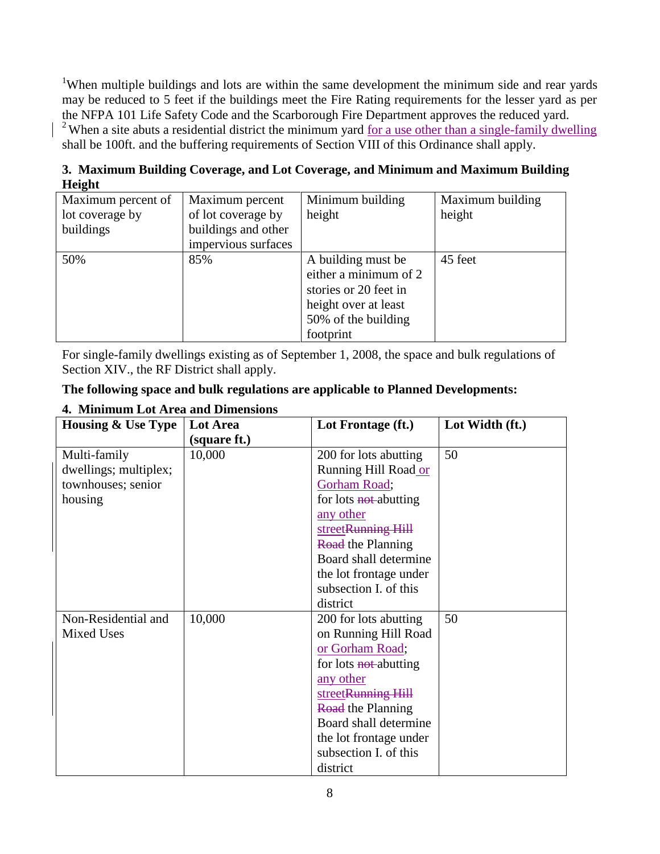<sup>1</sup>When multiple buildings and lots are within the same development the minimum side and rear yards may be reduced to 5 feet if the buildings meet the Fire Rating requirements for the lesser yard as per the NFPA 101 Life Safety Code and the Scarborough Fire Department approves the reduced yard. <sup>2</sup> When a site abuts a residential district the minimum yard <u>for a use other than a single-family dwelling</u> shall be 100ft. and the buffering requirements of Section VIII of this Ordinance shall apply.

**3. Maximum Building Coverage, and Lot Coverage, and Minimum and Maximum Building Height**

| Maximum percent of | Maximum percent     | Minimum building      | Maximum building |
|--------------------|---------------------|-----------------------|------------------|
| lot coverage by    | of lot coverage by  | height                | height           |
| buildings          | buildings and other |                       |                  |
|                    | impervious surfaces |                       |                  |
| 50%                | 85%                 | A building must be    | 45 feet          |
|                    |                     | either a minimum of 2 |                  |
|                    |                     | stories or 20 feet in |                  |
|                    |                     | height over at least  |                  |
|                    |                     | 50% of the building   |                  |
|                    |                     | footprint             |                  |

For single-family dwellings existing as of September 1, 2008, the space and bulk regulations of Section XIV., the RF District shall apply.

|  | The following space and bulk regulations are applicable to Planned Developments: |
|--|----------------------------------------------------------------------------------|
|  |                                                                                  |

| <b>Housing &amp; Use Type</b> | Lot Area     | Lot Frontage (ft.)       | Lot Width (ft.) |
|-------------------------------|--------------|--------------------------|-----------------|
|                               | (square ft.) |                          |                 |
| Multi-family                  | 10,000       | 200 for lots abutting    | 50              |
| dwellings; multiplex;         |              | Running Hill Road or     |                 |
| townhouses; senior            |              | Gorham Road;             |                 |
| housing                       |              | for lots not-abutting    |                 |
|                               |              | any other                |                 |
|                               |              | streetRunning Hill       |                 |
|                               |              | <b>Road</b> the Planning |                 |
|                               |              | Board shall determine    |                 |
|                               |              | the lot frontage under   |                 |
|                               |              | subsection I. of this    |                 |
|                               |              | district                 |                 |
| Non-Residential and           | 10,000       | 200 for lots abutting    | 50              |
| <b>Mixed Uses</b>             |              | on Running Hill Road     |                 |
|                               |              | or Gorham Road;          |                 |
|                               |              | for lots not-abutting    |                 |
|                               |              | any other                |                 |
|                               |              | streetRunning Hill       |                 |
|                               |              | <b>Road</b> the Planning |                 |
|                               |              | Board shall determine    |                 |
|                               |              | the lot frontage under   |                 |
|                               |              | subsection I. of this    |                 |
|                               |              | district                 |                 |

## **4. Minimum Lot Area and Dimensions**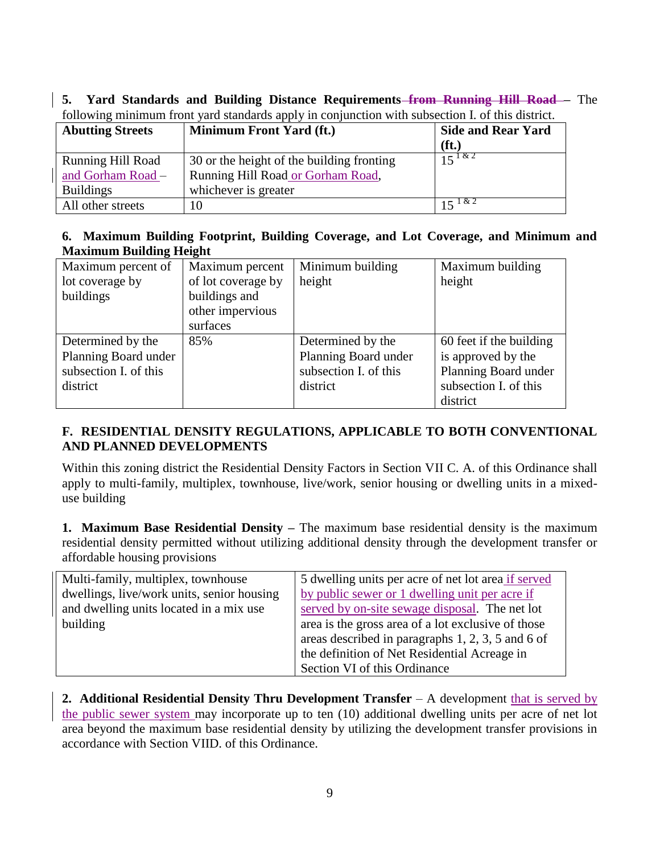**5. Yard Standards and Building Distance Requirements from Running Hill Road –** The following minimum front yard standards apply in conjunction with subsection I. of this district.

| <b>Abutting Streets</b>  | <b>Minimum Front Yard (ft.)</b>           | <b>Side and Rear Yard</b> |
|--------------------------|-------------------------------------------|---------------------------|
|                          |                                           | $(f_t)$                   |
| <b>Running Hill Road</b> | 30 or the height of the building fronting | $15^{182}$                |
| and Gorham Road -        | Running Hill Road or Gorham Road,         |                           |
| <b>Buildings</b>         | whichever is greater                      |                           |
| All other streets        |                                           | $15 \sqrt{16}$            |

### **6. Maximum Building Footprint, Building Coverage, and Lot Coverage, and Minimum and Maximum Building Height**

| Maximum percent of    | Maximum percent    | Minimum building      | Maximum building        |
|-----------------------|--------------------|-----------------------|-------------------------|
| lot coverage by       | of lot coverage by | height                | height                  |
| buildings             | buildings and      |                       |                         |
|                       | other impervious   |                       |                         |
|                       | surfaces           |                       |                         |
| Determined by the     | 85%                | Determined by the     | 60 feet if the building |
| Planning Board under  |                    | Planning Board under  | is approved by the      |
| subsection I. of this |                    | subsection I. of this | Planning Board under    |
| district              |                    | district              | subsection I. of this   |
|                       |                    |                       | district                |

## **F. RESIDENTIAL DENSITY REGULATIONS, APPLICABLE TO BOTH CONVENTIONAL AND PLANNED DEVELOPMENTS**

Within this zoning district the Residential Density Factors in Section VII C. A. of this Ordinance shall apply to multi-family, multiplex, townhouse, live/work, senior housing or dwelling units in a mixeduse building

**1. Maximum Base Residential Density –** The maximum base residential density is the maximum residential density permitted without utilizing additional density through the development transfer or affordable housing provisions

| Multi-family, multiplex, townhouse         | 5 dwelling units per acre of net lot area if served |  |
|--------------------------------------------|-----------------------------------------------------|--|
| dwellings, live/work units, senior housing | by public sewer or 1 dwelling unit per acre if      |  |
| and dwelling units located in a mix use    | served by on-site sewage disposal. The net lot      |  |
| building                                   | area is the gross area of a lot exclusive of those  |  |
|                                            | areas described in paragraphs 1, 2, 3, 5 and 6 of   |  |
|                                            | the definition of Net Residential Acreage in        |  |
|                                            | Section VI of this Ordinance                        |  |

**2. Additional Residential Density Thru Development Transfer** – A development that is served by the public sewer system may incorporate up to ten (10) additional dwelling units per acre of net lot area beyond the maximum base residential density by utilizing the development transfer provisions in accordance with Section VIID. of this Ordinance.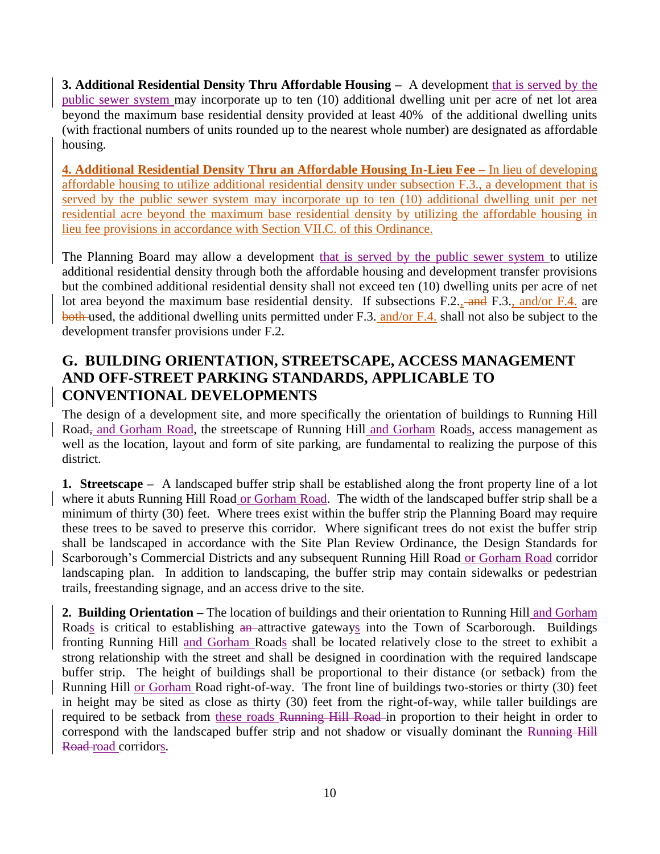**3. Additional Residential Density Thru Affordable Housing –** A development that is served by the public sewer system may incorporate up to ten (10) additional dwelling unit per acre of net lot area beyond the maximum base residential density provided at least 40% of the additional dwelling units (with fractional numbers of units rounded up to the nearest whole number) are designated as affordable housing.

**4. Additional Residential Density Thru an Affordable Housing In-Lieu Fee –** In lieu of developing affordable housing to utilize additional residential density under subsection F.3., a development that is served by the public sewer system may incorporate up to ten (10) additional dwelling unit per net residential acre beyond the maximum base residential density by utilizing the affordable housing in lieu fee provisions in accordance with Section VII.C. of this Ordinance.

The Planning Board may allow a development that is served by the public sewer system to utilize additional residential density through both the affordable housing and development transfer provisions but the combined additional residential density shall not exceed ten (10) dwelling units per acre of net lot area beyond the maximum base residential density. If subsections F.2., and F.3., and/or F.4. are both used, the additional dwelling units permitted under F.3. and/or F.4. shall not also be subject to the development transfer provisions under F.2.

# **G. BUILDING ORIENTATION, STREETSCAPE, ACCESS MANAGEMENT AND OFF-STREET PARKING STANDARDS, APPLICABLE TO CONVENTIONAL DEVELOPMENTS**

The design of a development site, and more specifically the orientation of buildings to Running Hill Road, and Gorham Road, the streetscape of Running Hill and Gorham Roads, access management as well as the location, layout and form of site parking, are fundamental to realizing the purpose of this district.

**1. Streetscape –** A landscaped buffer strip shall be established along the front property line of a lot where it abuts Running Hill Road or Gorham Road. The width of the landscaped buffer strip shall be a minimum of thirty (30) feet. Where trees exist within the buffer strip the Planning Board may require these trees to be saved to preserve this corridor. Where significant trees do not exist the buffer strip shall be landscaped in accordance with the Site Plan Review Ordinance, the Design Standards for Scarborough's Commercial Districts and any subsequent Running Hill Road or Gorham Road corridor landscaping plan. In addition to landscaping, the buffer strip may contain sidewalks or pedestrian trails, freestanding signage, and an access drive to the site.

**2. Building Orientation –** The location of buildings and their orientation to Running Hill and Gorham Roads is critical to establishing an-attractive gateways into the Town of Scarborough. Buildings fronting Running Hill and Gorham Roads shall be located relatively close to the street to exhibit a strong relationship with the street and shall be designed in coordination with the required landscape buffer strip. The height of buildings shall be proportional to their distance (or setback) from the Running Hill or Gorham Road right-of-way. The front line of buildings two-stories or thirty (30) feet in height may be sited as close as thirty (30) feet from the right-of-way, while taller buildings are required to be setback from these roads Running Hill Road in proportion to their height in order to correspond with the landscaped buffer strip and not shadow or visually dominant the Running Hill Road-road corridors.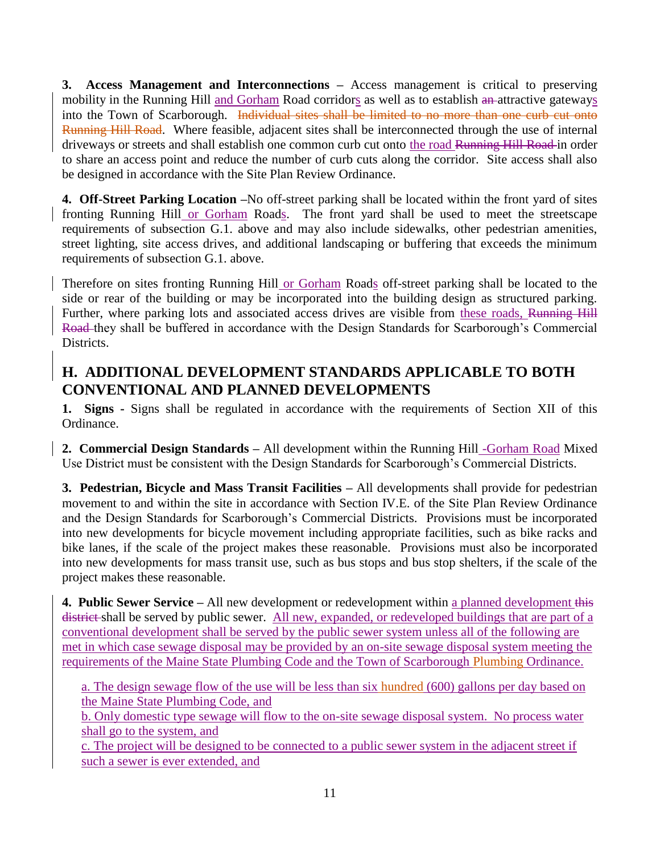**3. Access Management and Interconnections –** Access management is critical to preserving mobility in the Running Hill and Gorham Road corridors as well as to establish an-attractive gateways into the Town of Scarborough. Individual sites shall be limited to no more than one curb cut onto Running Hill Road. Where feasible, adjacent sites shall be interconnected through the use of internal driveways or streets and shall establish one common curb cut onto the road Running Hill Road in order to share an access point and reduce the number of curb cuts along the corridor. Site access shall also be designed in accordance with the Site Plan Review Ordinance.

**4. Off-Street Parking Location –**No off-street parking shall be located within the front yard of sites fronting Running Hill or Gorham Roads. The front yard shall be used to meet the streetscape requirements of subsection G.1. above and may also include sidewalks, other pedestrian amenities, street lighting, site access drives, and additional landscaping or buffering that exceeds the minimum requirements of subsection G.1. above.

Therefore on sites fronting Running Hill or Gorham Roads off-street parking shall be located to the side or rear of the building or may be incorporated into the building design as structured parking. Further, where parking lots and associated access drives are visible from these roads, Running Hill Road they shall be buffered in accordance with the Design Standards for Scarborough's Commercial Districts.

## **H. ADDITIONAL DEVELOPMENT STANDARDS APPLICABLE TO BOTH CONVENTIONAL AND PLANNED DEVELOPMENTS**

**1. Signs -** Signs shall be regulated in accordance with the requirements of Section XII of this Ordinance.

**2. Commercial Design Standards –** All development within the Running Hill -Gorham Road Mixed Use District must be consistent with the Design Standards for Scarborough's Commercial Districts.

**3. Pedestrian, Bicycle and Mass Transit Facilities –** All developments shall provide for pedestrian movement to and within the site in accordance with Section IV.E. of the Site Plan Review Ordinance and the Design Standards for Scarborough's Commercial Districts. Provisions must be incorporated into new developments for bicycle movement including appropriate facilities, such as bike racks and bike lanes, if the scale of the project makes these reasonable. Provisions must also be incorporated into new developments for mass transit use, such as bus stops and bus stop shelters, if the scale of the project makes these reasonable.

**4. Public Sewer Service –** All new development or redevelopment within a planned development this district shall be served by public sewer. All new, expanded, or redeveloped buildings that are part of a conventional development shall be served by the public sewer system unless all of the following are met in which case sewage disposal may be provided by an on-site sewage disposal system meeting the requirements of the Maine State Plumbing Code and the Town of Scarborough Plumbing Ordinance.

a. The design sewage flow of the use will be less than six hundred (600) gallons per day based on the Maine State Plumbing Code, and

b. Only domestic type sewage will flow to the on-site sewage disposal system. No process water shall go to the system, and

c. The project will be designed to be connected to a public sewer system in the adjacent street if such a sewer is ever extended, and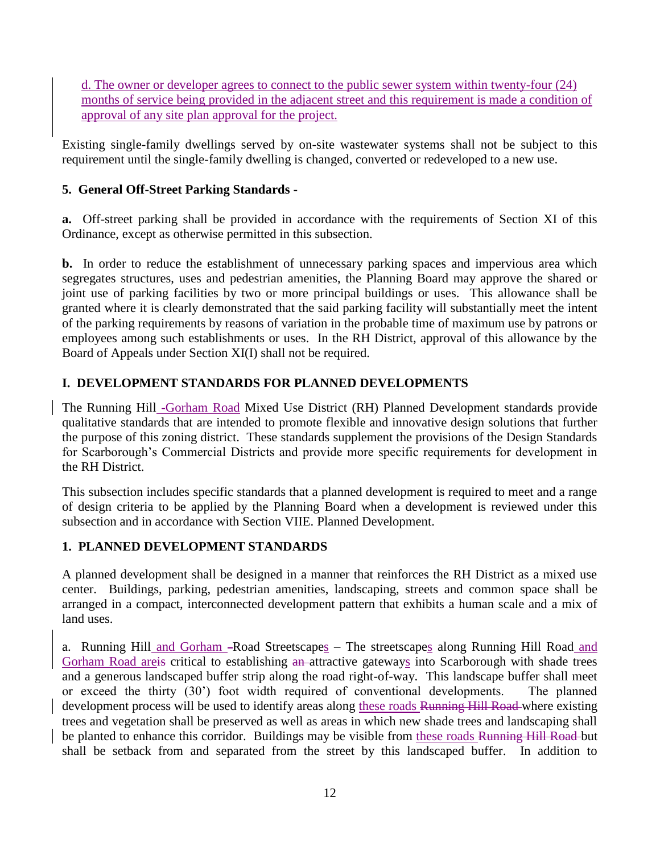d. The owner or developer agrees to connect to the public sewer system within twenty-four (24) months of service being provided in the adjacent street and this requirement is made a condition of approval of any site plan approval for the project.

Existing single-family dwellings served by on-site wastewater systems shall not be subject to this requirement until the single-family dwelling is changed, converted or redeveloped to a new use.

## **5. General Off-Street Parking Standards -**

**a.** Off-street parking shall be provided in accordance with the requirements of Section XI of this Ordinance, except as otherwise permitted in this subsection.

**b.** In order to reduce the establishment of unnecessary parking spaces and impervious area which segregates structures, uses and pedestrian amenities, the Planning Board may approve the shared or joint use of parking facilities by two or more principal buildings or uses. This allowance shall be granted where it is clearly demonstrated that the said parking facility will substantially meet the intent of the parking requirements by reasons of variation in the probable time of maximum use by patrons or employees among such establishments or uses. In the RH District, approval of this allowance by the Board of Appeals under Section XI(I) shall not be required.

## **I. DEVELOPMENT STANDARDS FOR PLANNED DEVELOPMENTS**

The Running Hill -Gorham Road Mixed Use District (RH) Planned Development standards provide qualitative standards that are intended to promote flexible and innovative design solutions that further the purpose of this zoning district. These standards supplement the provisions of the Design Standards for Scarborough's Commercial Districts and provide more specific requirements for development in the RH District.

This subsection includes specific standards that a planned development is required to meet and a range of design criteria to be applied by the Planning Board when a development is reviewed under this subsection and in accordance with Section VIIE. Planned Development.

## **1. PLANNED DEVELOPMENT STANDARDS**

A planned development shall be designed in a manner that reinforces the RH District as a mixed use center. Buildings, parking, pedestrian amenities, landscaping, streets and common space shall be arranged in a compact, interconnected development pattern that exhibits a human scale and a mix of land uses.

a. Running Hill and Gorham -Road Streetscapes – The streetscapes along Running Hill Road and Gorham Road are<del>is</del> critical to establishing an attractive gateways into Scarborough with shade trees and a generous landscaped buffer strip along the road right-of-way. This landscape buffer shall meet or exceed the thirty (30') foot width required of conventional developments. The planned development process will be used to identify areas along these roads Running Hill Road where existing trees and vegetation shall be preserved as well as areas in which new shade trees and landscaping shall be planted to enhance this corridor. Buildings may be visible from these roads Running Hill Road-but shall be setback from and separated from the street by this landscaped buffer. In addition to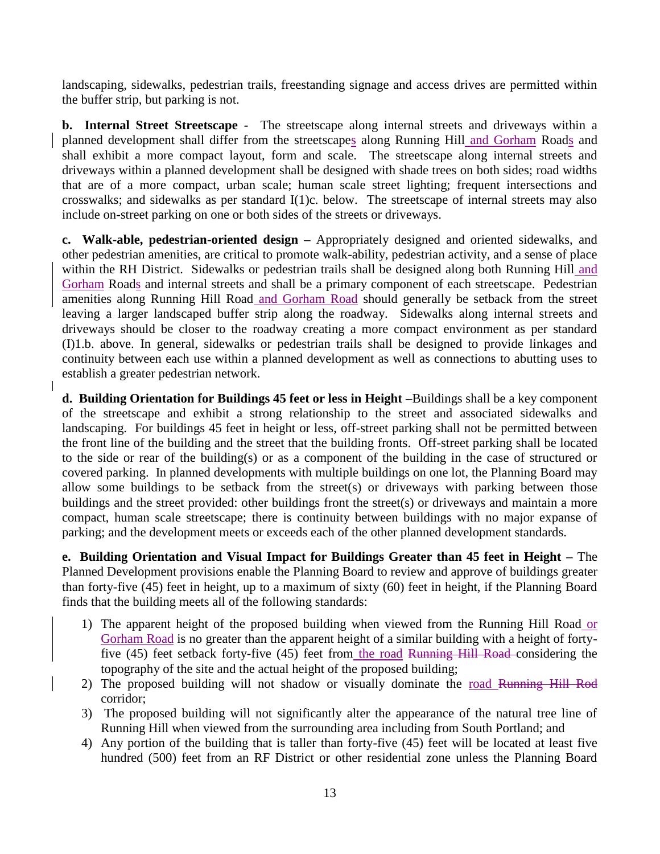landscaping, sidewalks, pedestrian trails, freestanding signage and access drives are permitted within the buffer strip, but parking is not.

**b.** Internal Street Streetscape - The streetscape along internal streets and driveways within a planned development shall differ from the streetscapes along Running Hill and Gorham Roads and shall exhibit a more compact layout, form and scale. The streetscape along internal streets and driveways within a planned development shall be designed with shade trees on both sides; road widths that are of a more compact, urban scale; human scale street lighting; frequent intersections and crosswalks; and sidewalks as per standard I(1)c. below. The streetscape of internal streets may also include on-street parking on one or both sides of the streets or driveways.

**c. Walk-able, pedestrian-oriented design –** Appropriately designed and oriented sidewalks, and other pedestrian amenities, are critical to promote walk-ability, pedestrian activity, and a sense of place within the RH District. Sidewalks or pedestrian trails shall be designed along both Running Hill and Gorham Roads and internal streets and shall be a primary component of each streetscape. Pedestrian amenities along Running Hill Road and Gorham Road should generally be setback from the street leaving a larger landscaped buffer strip along the roadway. Sidewalks along internal streets and driveways should be closer to the roadway creating a more compact environment as per standard (I)1.b. above. In general, sidewalks or pedestrian trails shall be designed to provide linkages and continuity between each use within a planned development as well as connections to abutting uses to establish a greater pedestrian network.

**d. Building Orientation for Buildings 45 feet or less in Height –**Buildings shall be a key component of the streetscape and exhibit a strong relationship to the street and associated sidewalks and landscaping. For buildings 45 feet in height or less, off-street parking shall not be permitted between the front line of the building and the street that the building fronts. Off-street parking shall be located to the side or rear of the building(s) or as a component of the building in the case of structured or covered parking. In planned developments with multiple buildings on one lot, the Planning Board may allow some buildings to be setback from the street(s) or driveways with parking between those buildings and the street provided: other buildings front the street(s) or driveways and maintain a more compact, human scale streetscape; there is continuity between buildings with no major expanse of parking; and the development meets or exceeds each of the other planned development standards.

**e. Building Orientation and Visual Impact for Buildings Greater than 45 feet in Height –** The Planned Development provisions enable the Planning Board to review and approve of buildings greater than forty-five (45) feet in height, up to a maximum of sixty (60) feet in height, if the Planning Board finds that the building meets all of the following standards:

- 1) The apparent height of the proposed building when viewed from the Running Hill Road or Gorham Road is no greater than the apparent height of a similar building with a height of fortyfive (45) feet setback forty-five (45) feet from the road Running Hill Road-considering the topography of the site and the actual height of the proposed building;
- 2) The proposed building will not shadow or visually dominate the road Running Hill Rod corridor;
- 3) The proposed building will not significantly alter the appearance of the natural tree line of Running Hill when viewed from the surrounding area including from South Portland; and
- 4) Any portion of the building that is taller than forty-five (45) feet will be located at least five hundred (500) feet from an RF District or other residential zone unless the Planning Board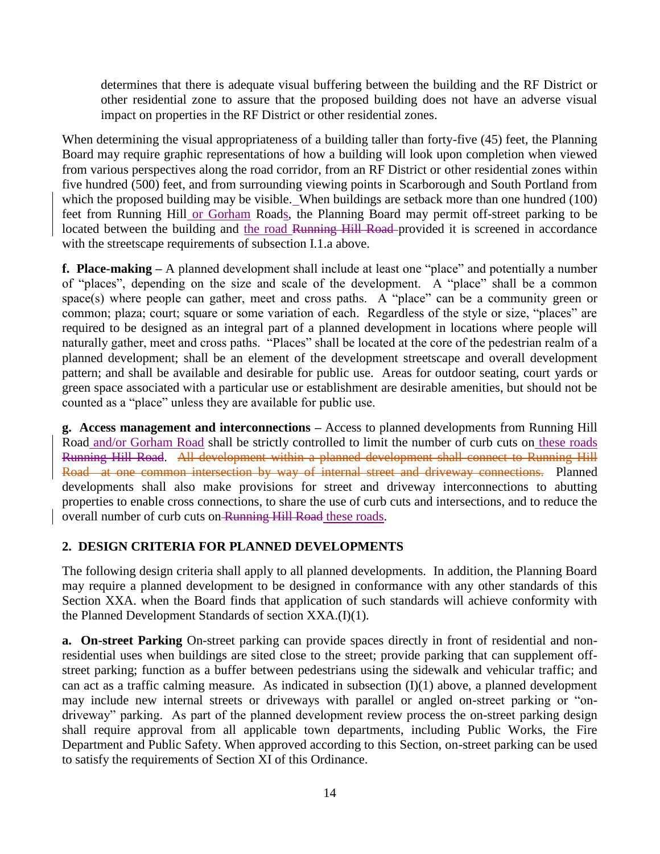determines that there is adequate visual buffering between the building and the RF District or other residential zone to assure that the proposed building does not have an adverse visual impact on properties in the RF District or other residential zones.

When determining the visual appropriateness of a building taller than forty-five (45) feet, the Planning Board may require graphic representations of how a building will look upon completion when viewed from various perspectives along the road corridor, from an RF District or other residential zones within five hundred (500) feet, and from surrounding viewing points in Scarborough and South Portland from which the proposed building may be visible. When buildings are setback more than one hundred (100) feet from Running Hill or Gorham Roads, the Planning Board may permit off-street parking to be located between the building and the road Running Hill Road provided it is screened in accordance with the streetscape requirements of subsection I.1.a above.

**f. Place-making –** A planned development shall include at least one "place" and potentially a number of "places", depending on the size and scale of the development. A "place" shall be a common space(s) where people can gather, meet and cross paths. A "place" can be a community green or common; plaza; court; square or some variation of each. Regardless of the style or size, "places" are required to be designed as an integral part of a planned development in locations where people will naturally gather, meet and cross paths. "Places" shall be located at the core of the pedestrian realm of a planned development; shall be an element of the development streetscape and overall development pattern; and shall be available and desirable for public use. Areas for outdoor seating, court yards or green space associated with a particular use or establishment are desirable amenities, but should not be counted as a "place" unless they are available for public use.

**g. Access management and interconnections –** Access to planned developments from Running Hill Road and/or Gorham Road shall be strictly controlled to limit the number of curb cuts on these roads Running Hill Road. All development within a planned development shall connect to Running Hill Road at one common intersection by way of internal street and driveway connections. Planned developments shall also make provisions for street and driveway interconnections to abutting properties to enable cross connections, to share the use of curb cuts and intersections, and to reduce the overall number of curb cuts on Running Hill Road these roads.

### **2. DESIGN CRITERIA FOR PLANNED DEVELOPMENTS**

The following design criteria shall apply to all planned developments. In addition, the Planning Board may require a planned development to be designed in conformance with any other standards of this Section XXA. when the Board finds that application of such standards will achieve conformity with the Planned Development Standards of section XXA.(I)(1).

**a. On-street Parking** On-street parking can provide spaces directly in front of residential and nonresidential uses when buildings are sited close to the street; provide parking that can supplement offstreet parking; function as a buffer between pedestrians using the sidewalk and vehicular traffic; and can act as a traffic calming measure. As indicated in subsection  $(I)(1)$  above, a planned development may include new internal streets or driveways with parallel or angled on-street parking or "ondriveway" parking. As part of the planned development review process the on-street parking design shall require approval from all applicable town departments, including Public Works, the Fire Department and Public Safety. When approved according to this Section, on-street parking can be used to satisfy the requirements of Section XI of this Ordinance.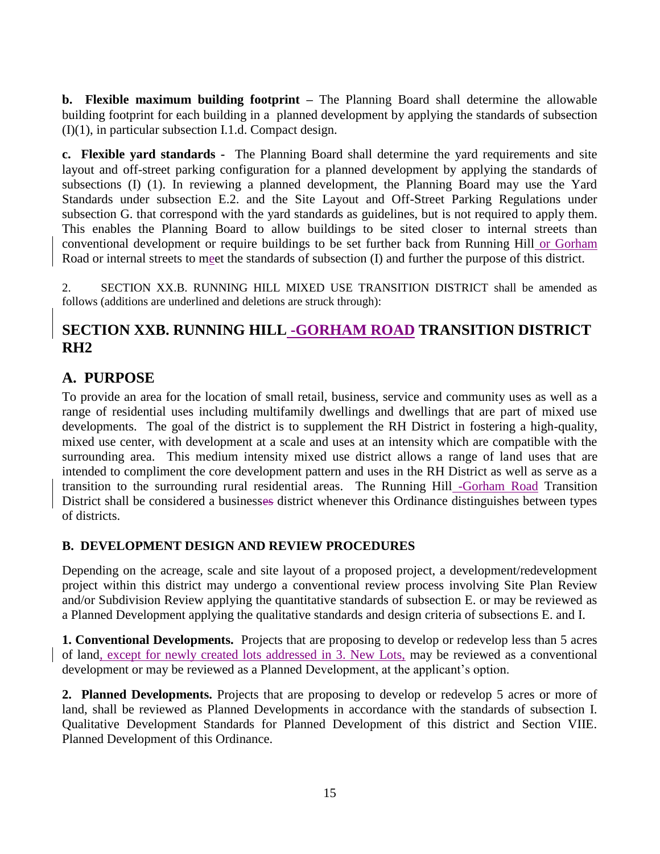**b. Flexible maximum building footprint –** The Planning Board shall determine the allowable building footprint for each building in a planned development by applying the standards of subsection (I)(1), in particular subsection I.1.d. Compact design.

**c. Flexible yard standards -** The Planning Board shall determine the yard requirements and site layout and off-street parking configuration for a planned development by applying the standards of subsections (I) (1). In reviewing a planned development, the Planning Board may use the Yard Standards under subsection E.2. and the Site Layout and Off-Street Parking Regulations under subsection G. that correspond with the yard standards as guidelines, but is not required to apply them. This enables the Planning Board to allow buildings to be sited closer to internal streets than conventional development or require buildings to be set further back from Running Hill or Gorham Road or internal streets to meet the standards of subsection (I) and further the purpose of this district.

2. SECTION XX.B. RUNNING HILL MIXED USE TRANSITION DISTRICT shall be amended as follows (additions are underlined and deletions are struck through):

## **SECTION XXB. RUNNING HILL -GORHAM ROAD TRANSITION DISTRICT RH2**

## **A. PURPOSE**

To provide an area for the location of small retail, business, service and community uses as well as a range of residential uses including multifamily dwellings and dwellings that are part of mixed use developments. The goal of the district is to supplement the RH District in fostering a high-quality, mixed use center, with development at a scale and uses at an intensity which are compatible with the surrounding area. This medium intensity mixed use district allows a range of land uses that are intended to compliment the core development pattern and uses in the RH District as well as serve as a transition to the surrounding rural residential areas. The Running Hill -Gorham Road Transition District shall be considered a businesses district whenever this Ordinance distinguishes between types of districts.

### **B. DEVELOPMENT DESIGN AND REVIEW PROCEDURES**

Depending on the acreage, scale and site layout of a proposed project, a development/redevelopment project within this district may undergo a conventional review process involving Site Plan Review and/or Subdivision Review applying the quantitative standards of subsection E. or may be reviewed as a Planned Development applying the qualitative standards and design criteria of subsections E. and I.

**1. Conventional Developments.** Projects that are proposing to develop or redevelop less than 5 acres of land, except for newly created lots addressed in 3. New Lots, may be reviewed as a conventional development or may be reviewed as a Planned Development, at the applicant's option.

**2. Planned Developments.** Projects that are proposing to develop or redevelop 5 acres or more of land, shall be reviewed as Planned Developments in accordance with the standards of subsection I. Qualitative Development Standards for Planned Development of this district and Section VIIE. Planned Development of this Ordinance.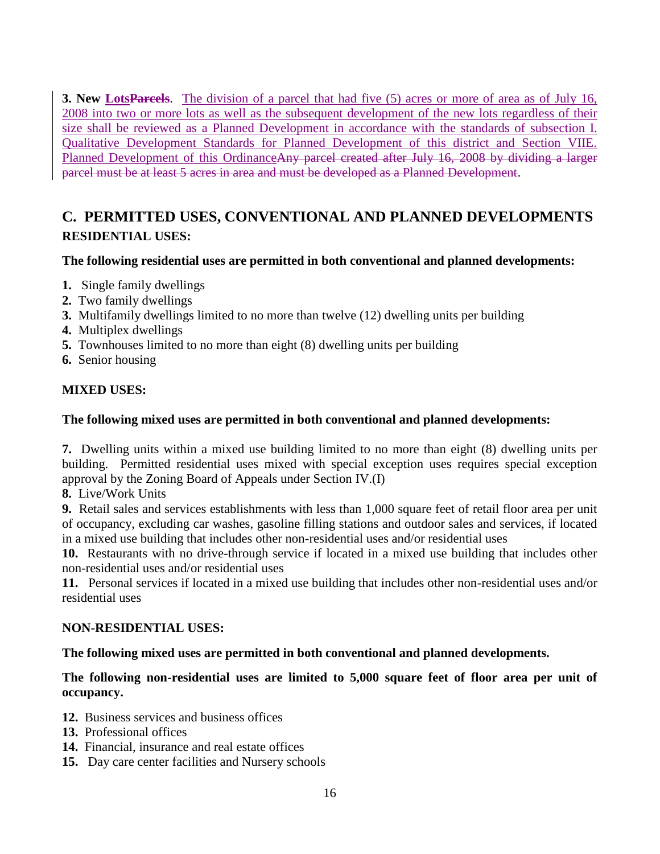**3. New LotsParcels**. The division of a parcel that had five (5) acres or more of area as of July 16, 2008 into two or more lots as well as the subsequent development of the new lots regardless of their size shall be reviewed as a Planned Development in accordance with the standards of subsection I. Qualitative Development Standards for Planned Development of this district and Section VIIE. Planned Development of this OrdinanceAny parcel created after July 16, 2008 by dividing a larger parcel must be at least 5 acres in area and must be developed as a Planned Development.

# **C. PERMITTED USES, CONVENTIONAL AND PLANNED DEVELOPMENTS RESIDENTIAL USES:**

### **The following residential uses are permitted in both conventional and planned developments:**

- **1.** Single family dwellings
- **2.** Two family dwellings
- **3.** Multifamily dwellings limited to no more than twelve (12) dwelling units per building
- **4.** Multiplex dwellings
- **5.** Townhouses limited to no more than eight (8) dwelling units per building
- **6.** Senior housing

### **MIXED USES:**

### **The following mixed uses are permitted in both conventional and planned developments:**

**7.** Dwelling units within a mixed use building limited to no more than eight (8) dwelling units per building. Permitted residential uses mixed with special exception uses requires special exception approval by the Zoning Board of Appeals under Section IV.(I)

**8.** Live/Work Units

**9.** Retail sales and services establishments with less than 1,000 square feet of retail floor area per unit of occupancy, excluding car washes, gasoline filling stations and outdoor sales and services, if located in a mixed use building that includes other non-residential uses and/or residential uses

**10.** Restaurants with no drive-through service if located in a mixed use building that includes other non-residential uses and/or residential uses

**11.** Personal services if located in a mixed use building that includes other non-residential uses and/or residential uses

### **NON-RESIDENTIAL USES:**

### **The following mixed uses are permitted in both conventional and planned developments.**

### **The following non-residential uses are limited to 5,000 square feet of floor area per unit of occupancy.**

- **12.** Business services and business offices
- **13.** Professional offices
- **14.** Financial, insurance and real estate offices
- **15.** Day care center facilities and Nursery schools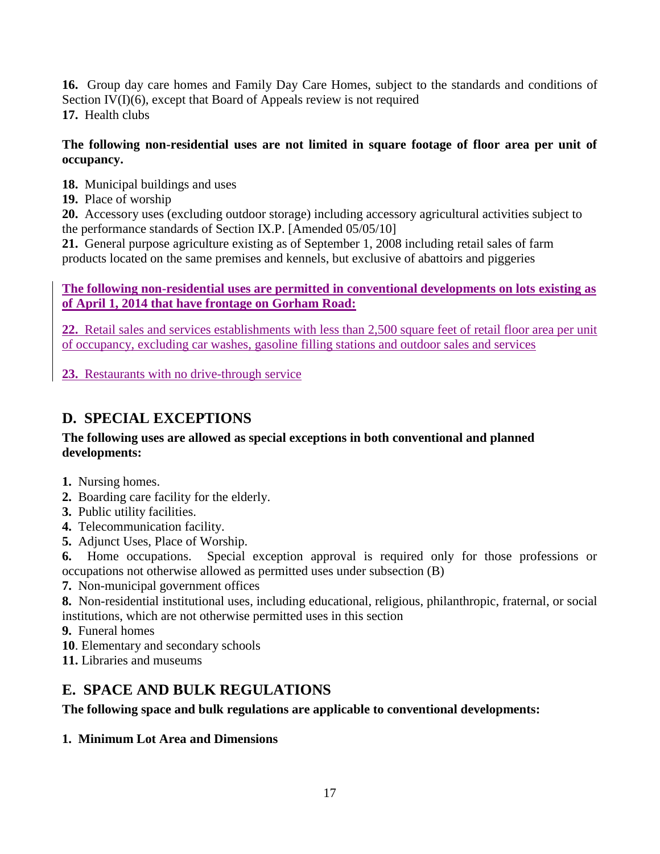**16.** Group day care homes and Family Day Care Homes, subject to the standards and conditions of Section IV(I)(6), except that Board of Appeals review is not required **17.** Health clubs

### **The following non-residential uses are not limited in square footage of floor area per unit of occupancy.**

- **18.** Municipal buildings and uses
- **19.** Place of worship

**20.** Accessory uses (excluding outdoor storage) including accessory agricultural activities subject to the performance standards of Section IX.P. [Amended 05/05/10]

**21.** General purpose agriculture existing as of September 1, 2008 including retail sales of farm products located on the same premises and kennels, but exclusive of abattoirs and piggeries

### **The following non-residential uses are permitted in conventional developments on lots existing as of April 1, 2014 that have frontage on Gorham Road:**

**22.** Retail sales and services establishments with less than 2,500 square feet of retail floor area per unit of occupancy, excluding car washes, gasoline filling stations and outdoor sales and services

**23.** Restaurants with no drive-through service

# **D. SPECIAL EXCEPTIONS**

### **The following uses are allowed as special exceptions in both conventional and planned developments:**

- **1.** Nursing homes.
- **2.** Boarding care facility for the elderly.
- **3.** Public utility facilities.
- **4.** Telecommunication facility.
- **5.** Adjunct Uses, Place of Worship.

**6.** Home occupations. Special exception approval is required only for those professions or occupations not otherwise allowed as permitted uses under subsection (B)

- **7.** Non-municipal government offices
- **8.** Non-residential institutional uses, including educational, religious, philanthropic, fraternal, or social institutions, which are not otherwise permitted uses in this section
- **9.** Funeral homes
- **10**. Elementary and secondary schools
- **11.** Libraries and museums

# **E. SPACE AND BULK REGULATIONS**

### **The following space and bulk regulations are applicable to conventional developments:**

## **1. Minimum Lot Area and Dimensions**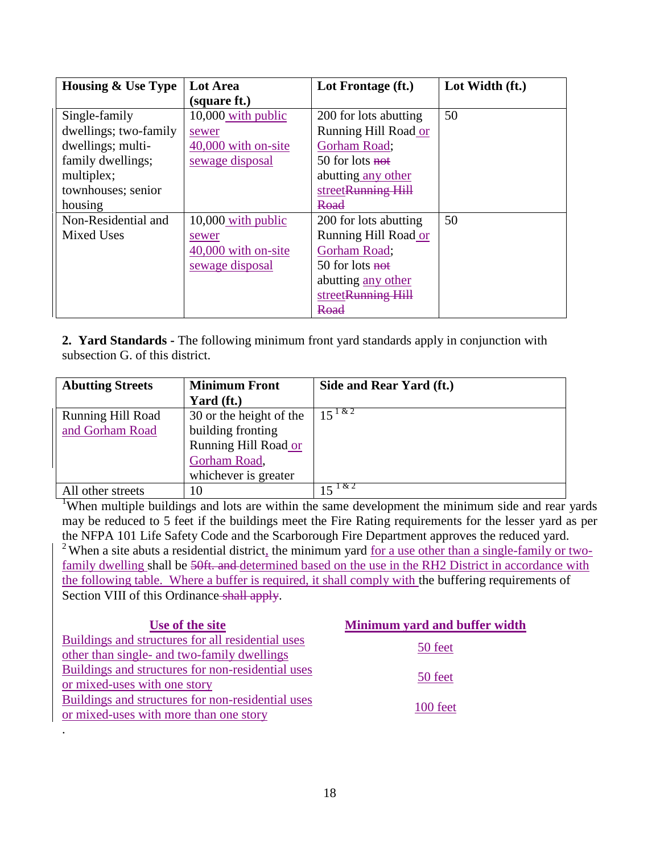| <b>Housing &amp; Use Type</b> | Lot Area            | Lot Frontage (ft.)    | Lot Width (ft.) |
|-------------------------------|---------------------|-----------------------|-----------------|
|                               | (square ft.)        |                       |                 |
| Single-family                 | 10,000 with public  | 200 for lots abutting | 50              |
| dwellings; two-family         | sewer               | Running Hill Road or  |                 |
| dwellings; multi-             | 40,000 with on-site | Gorham Road;          |                 |
| family dwellings;             | sewage disposal     | 50 for lots not       |                 |
| multiplex;                    |                     | abutting any other    |                 |
| townhouses; senior            |                     | streetRunning Hill    |                 |
| housing                       |                     | Road                  |                 |
| Non-Residential and           | 10,000 with public  | 200 for lots abutting | 50              |
| <b>Mixed Uses</b>             | sewer               | Running Hill Road or  |                 |
|                               | 40,000 with on-site | Gorham Road;          |                 |
|                               | sewage disposal     | 50 for lots not       |                 |
|                               |                     | abutting any other    |                 |
|                               |                     | streetRunning Hill    |                 |
|                               |                     | Road                  |                 |

**2. Yard Standards -** The following minimum front yard standards apply in conjunction with subsection G. of this district.

| <b>Abutting Streets</b>  | <b>Minimum Front</b>    | Side and Rear Yard (ft.) |
|--------------------------|-------------------------|--------------------------|
|                          | Yard (ft.)              |                          |
| <b>Running Hill Road</b> | 30 or the height of the | $15^{182}$               |
| and Gorham Road          | building fronting       |                          |
|                          | Running Hill Road or    |                          |
|                          | Gorham Road,            |                          |
|                          | whichever is greater    |                          |
| All other streets        | 10                      | $15 \sqrt{82}$           |

<sup>1</sup>When multiple buildings and lots are within the same development the minimum side and rear yards may be reduced to 5 feet if the buildings meet the Fire Rating requirements for the lesser yard as per the NFPA 101 Life Safety Code and the Scarborough Fire Department approves the reduced yard.  $2$  When a site abuts a residential district, the minimum yard for a use other than a single-family or twofamily dwelling shall be 50ft. and determined based on the use in the RH2 District in accordance with the following table. Where a buffer is required, it shall comply with the buffering requirements of Section VIII of this Ordinance shall apply.

| Use of the site                                   | Minimum yard and buffer width |  |
|---------------------------------------------------|-------------------------------|--|
| Buildings and structures for all residential uses | 50 feet                       |  |
| other than single- and two-family dwellings       |                               |  |
| Buildings and structures for non-residential uses |                               |  |
| or mixed-uses with one story                      | 50 feet                       |  |
| Buildings and structures for non-residential uses |                               |  |
| or mixed-uses with more than one story            | $100$ feet                    |  |

.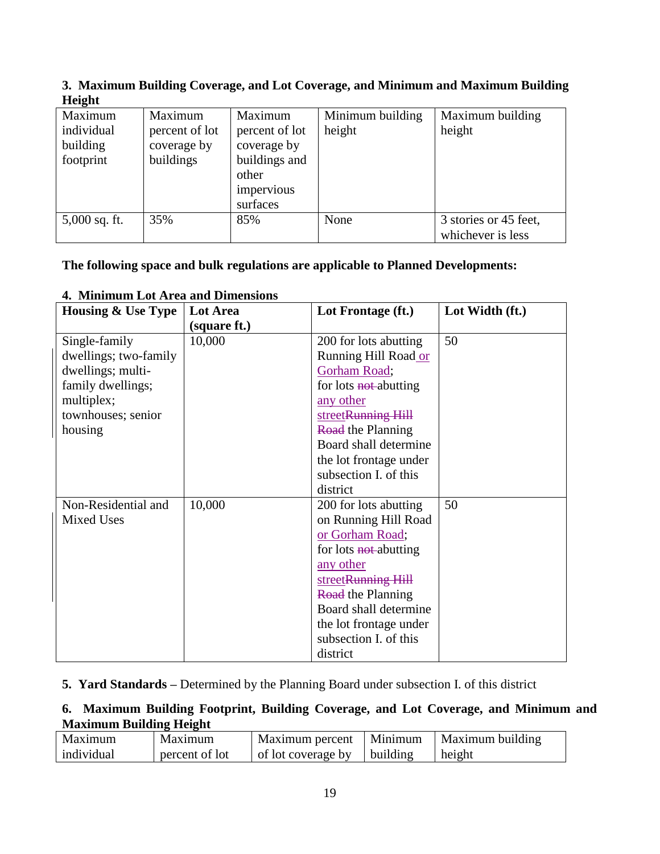| Maximum        | Maximum        | Minimum building | Maximum building                           |
|----------------|----------------|------------------|--------------------------------------------|
| percent of lot | percent of lot | height           | height                                     |
| coverage by    | coverage by    |                  |                                            |
| buildings      | buildings and  |                  |                                            |
|                | other          |                  |                                            |
|                | impervious     |                  |                                            |
|                | surfaces       |                  |                                            |
| 35%            | 85%            | None             | 3 stories or 45 feet,<br>whichever is less |
|                |                |                  |                                            |

### **3. Maximum Building Coverage, and Lot Coverage, and Minimum and Maximum Building Height**

## **The following space and bulk regulations are applicable to Planned Developments:**

| <b>Housing &amp; Use Type</b> | Lot Area     | Lot Frontage (ft.)       | Lot Width (ft.) |
|-------------------------------|--------------|--------------------------|-----------------|
|                               | (square ft.) |                          |                 |
| Single-family                 | 10,000       | 200 for lots abutting    | 50              |
| dwellings; two-family         |              | Running Hill Road or     |                 |
| dwellings; multi-             |              | Gorham Road;             |                 |
| family dwellings;             |              | for lots not-abutting    |                 |
| multiplex;                    |              | any other                |                 |
| townhouses; senior            |              | streetRunning Hill       |                 |
| housing                       |              | <b>Road</b> the Planning |                 |
|                               |              | Board shall determine    |                 |
|                               |              | the lot frontage under   |                 |
|                               |              | subsection I. of this    |                 |
|                               |              | district                 |                 |
| Non-Residential and           | 10,000       | 200 for lots abutting    | 50              |
| <b>Mixed Uses</b>             |              | on Running Hill Road     |                 |
|                               |              | or Gorham Road;          |                 |
|                               |              | for lots not-abutting    |                 |
|                               |              | any other                |                 |
|                               |              | streetRunning Hill       |                 |
|                               |              | <b>Road</b> the Planning |                 |
|                               |              | Board shall determine    |                 |
|                               |              | the lot frontage under   |                 |
|                               |              | subsection I. of this    |                 |
|                               |              | district                 |                 |

### **4. Minimum Lot Area and Dimensions**

### **5. Yard Standards –** Determined by the Planning Board under subsection I. of this district

## **6. Maximum Building Footprint, Building Coverage, and Lot Coverage, and Minimum and Maximum Building Height**

| Maximum    | Maximum        | Maximum percent   Minimum |                         | Maximum building |
|------------|----------------|---------------------------|-------------------------|------------------|
| individual | percent of lot | of lot coverage by        | $\blacksquare$ building | height           |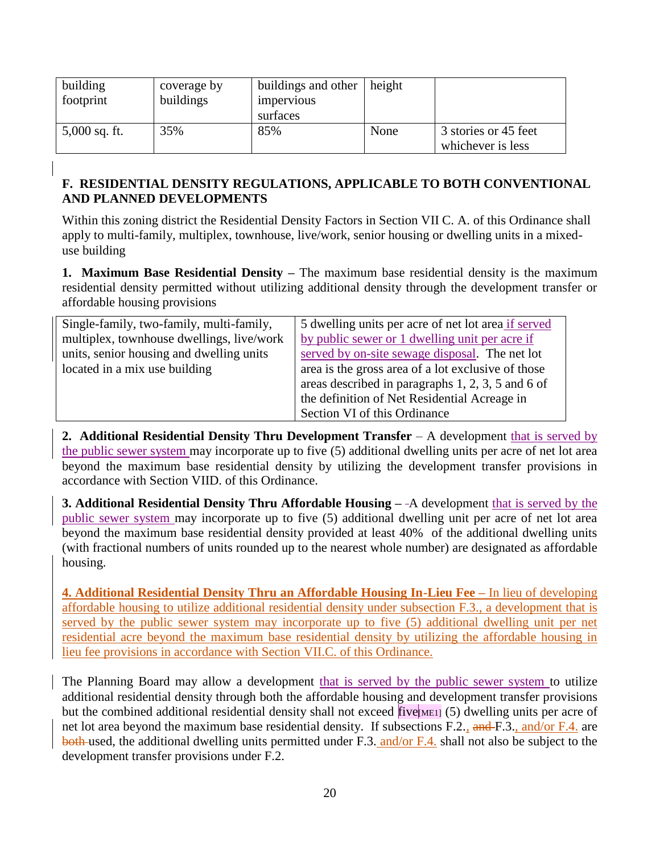| building<br>footprint | coverage by<br>buildings | buildings and other<br><i>impervious</i><br>surfaces | height |                                           |
|-----------------------|--------------------------|------------------------------------------------------|--------|-------------------------------------------|
| $5,000$ sq. ft.       | 35%                      | 85%                                                  | None   | 3 stories or 45 feet<br>whichever is less |

### **F. RESIDENTIAL DENSITY REGULATIONS, APPLICABLE TO BOTH CONVENTIONAL AND PLANNED DEVELOPMENTS**

Within this zoning district the Residential Density Factors in Section VII C. A. of this Ordinance shall apply to multi-family, multiplex, townhouse, live/work, senior housing or dwelling units in a mixeduse building

**1. Maximum Base Residential Density –** The maximum base residential density is the maximum residential density permitted without utilizing additional density through the development transfer or affordable housing provisions

| Single-family, two-family, multi-family,  | 5 dwelling units per acre of net lot area if served |
|-------------------------------------------|-----------------------------------------------------|
| multiplex, townhouse dwellings, live/work | by public sewer or 1 dwelling unit per acre if      |
| units, senior housing and dwelling units  | served by on-site sewage disposal. The net lot      |
| located in a mix use building             | area is the gross area of a lot exclusive of those  |
|                                           | areas described in paragraphs 1, 2, 3, 5 and 6 of   |
|                                           | the definition of Net Residential Acreage in        |
|                                           | Section VI of this Ordinance                        |

**2. Additional Residential Density Thru Development Transfer** – A development that is served by the public sewer system may incorporate up to five (5) additional dwelling units per acre of net lot area beyond the maximum base residential density by utilizing the development transfer provisions in accordance with Section VIID. of this Ordinance.

**3. Additional Residential Density Thru Affordable Housing –** A development that is served by the public sewer system may incorporate up to five (5) additional dwelling unit per acre of net lot area beyond the maximum base residential density provided at least 40% of the additional dwelling units (with fractional numbers of units rounded up to the nearest whole number) are designated as affordable housing.

**4. Additional Residential Density Thru an Affordable Housing In-Lieu Fee –** In lieu of developing affordable housing to utilize additional residential density under subsection F.3., a development that is served by the public sewer system may incorporate up to five (5) additional dwelling unit per net residential acre beyond the maximum base residential density by utilizing the affordable housing in lieu fee provisions in accordance with Section VII.C. of this Ordinance.

The Planning Board may allow a development that is served by the public sewer system to utilize additional residential density through both the affordable housing and development transfer provisions but the combined additional residential density shall not exceed  $five_{[ME1]}$  (5) dwelling units per acre of net lot area beyond the maximum base residential density. If subsections F.2., and F.3., and/or F.4. are both used, the additional dwelling units permitted under F.3. and/or F.4. shall not also be subject to the development transfer provisions under F.2.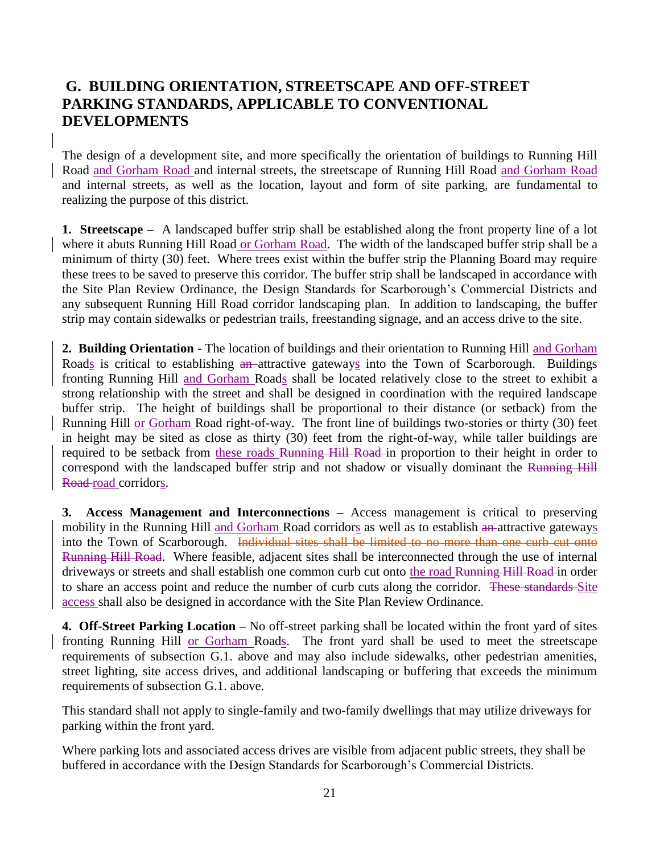## **G. BUILDING ORIENTATION, STREETSCAPE AND OFF-STREET PARKING STANDARDS, APPLICABLE TO CONVENTIONAL DEVELOPMENTS**

The design of a development site, and more specifically the orientation of buildings to Running Hill Road and Gorham Road and internal streets, the streetscape of Running Hill Road and Gorham Road and internal streets, as well as the location, layout and form of site parking, are fundamental to realizing the purpose of this district.

**1. Streetscape –** A landscaped buffer strip shall be established along the front property line of a lot where it abuts Running Hill Road or Gorham Road. The width of the landscaped buffer strip shall be a minimum of thirty (30) feet. Where trees exist within the buffer strip the Planning Board may require these trees to be saved to preserve this corridor. The buffer strip shall be landscaped in accordance with the Site Plan Review Ordinance, the Design Standards for Scarborough's Commercial Districts and any subsequent Running Hill Road corridor landscaping plan. In addition to landscaping, the buffer strip may contain sidewalks or pedestrian trails, freestanding signage, and an access drive to the site.

**2. Building Orientation -** The location of buildings and their orientation to Running Hill and Gorham Roads is critical to establishing an-attractive gateways into the Town of Scarborough. Buildings fronting Running Hill and Gorham Roads shall be located relatively close to the street to exhibit a strong relationship with the street and shall be designed in coordination with the required landscape buffer strip. The height of buildings shall be proportional to their distance (or setback) from the Running Hill or Gorham Road right-of-way. The front line of buildings two-stories or thirty (30) feet in height may be sited as close as thirty (30) feet from the right-of-way, while taller buildings are required to be setback from these roads Running Hill Road in proportion to their height in order to correspond with the landscaped buffer strip and not shadow or visually dominant the Running Hill Road-road corridors.

**3. Access Management and Interconnections –** Access management is critical to preserving mobility in the Running Hill and Gorham Road corridors as well as to establish an-attractive gateways into the Town of Scarborough. Individual sites shall be limited to no more than one curb cut onto Running Hill Road. Where feasible, adjacent sites shall be interconnected through the use of internal driveways or streets and shall establish one common curb cut onto the road Running Hill Road in order to share an access point and reduce the number of curb cuts along the corridor. These standards Site access shall also be designed in accordance with the Site Plan Review Ordinance.

**4. Off-Street Parking Location –** No off-street parking shall be located within the front yard of sites fronting Running Hill or Gorham Roads. The front yard shall be used to meet the streetscape requirements of subsection G.1. above and may also include sidewalks, other pedestrian amenities, street lighting, site access drives, and additional landscaping or buffering that exceeds the minimum requirements of subsection G.1. above.

This standard shall not apply to single-family and two-family dwellings that may utilize driveways for parking within the front yard.

Where parking lots and associated access drives are visible from adjacent public streets, they shall be buffered in accordance with the Design Standards for Scarborough's Commercial Districts.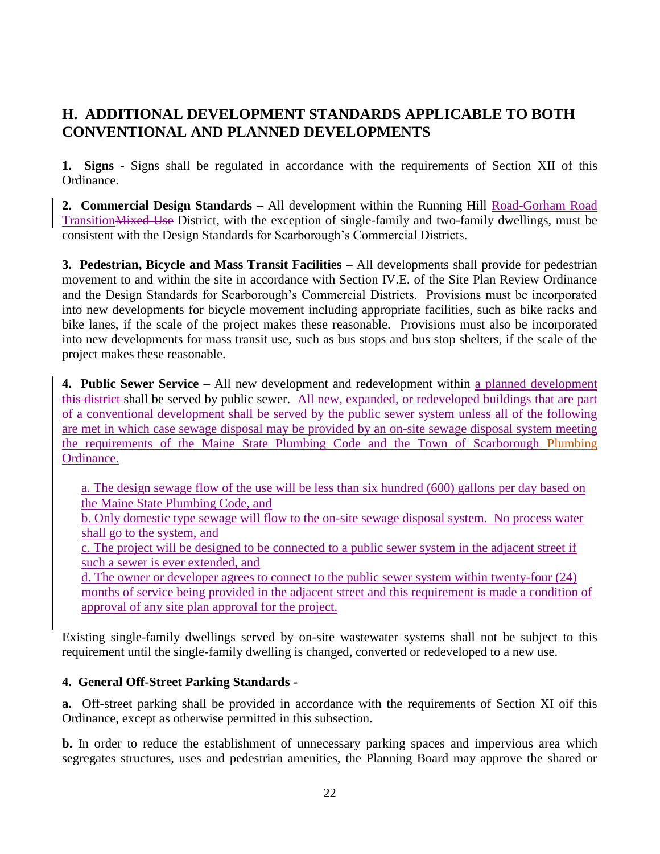# **H. ADDITIONAL DEVELOPMENT STANDARDS APPLICABLE TO BOTH CONVENTIONAL AND PLANNED DEVELOPMENTS**

**1. Signs -** Signs shall be regulated in accordance with the requirements of Section XII of this Ordinance.

**2. Commercial Design Standards –** All development within the Running Hill Road-Gorham Road TransitionMixed Use District, with the exception of single-family and two-family dwellings, must be consistent with the Design Standards for Scarborough's Commercial Districts.

**3. Pedestrian, Bicycle and Mass Transit Facilities –** All developments shall provide for pedestrian movement to and within the site in accordance with Section IV.E. of the Site Plan Review Ordinance and the Design Standards for Scarborough's Commercial Districts. Provisions must be incorporated into new developments for bicycle movement including appropriate facilities, such as bike racks and bike lanes, if the scale of the project makes these reasonable. Provisions must also be incorporated into new developments for mass transit use, such as bus stops and bus stop shelters, if the scale of the project makes these reasonable.

**4. Public Sewer Service –** All new development and redevelopment within a planned development this district shall be served by public sewer. All new, expanded, or redeveloped buildings that are part of a conventional development shall be served by the public sewer system unless all of the following are met in which case sewage disposal may be provided by an on-site sewage disposal system meeting the requirements of the Maine State Plumbing Code and the Town of Scarborough Plumbing Ordinance.

a. The design sewage flow of the use will be less than six hundred (600) gallons per day based on the Maine State Plumbing Code, and

b. Only domestic type sewage will flow to the on-site sewage disposal system. No process water shall go to the system, and

c. The project will be designed to be connected to a public sewer system in the adjacent street if such a sewer is ever extended, and

d. The owner or developer agrees to connect to the public sewer system within twenty-four (24) months of service being provided in the adjacent street and this requirement is made a condition of approval of any site plan approval for the project.

Existing single-family dwellings served by on-site wastewater systems shall not be subject to this requirement until the single-family dwelling is changed, converted or redeveloped to a new use.

### **4. General Off-Street Parking Standards -**

**a.** Off-street parking shall be provided in accordance with the requirements of Section XI oif this Ordinance, except as otherwise permitted in this subsection.

**b.** In order to reduce the establishment of unnecessary parking spaces and impervious area which segregates structures, uses and pedestrian amenities, the Planning Board may approve the shared or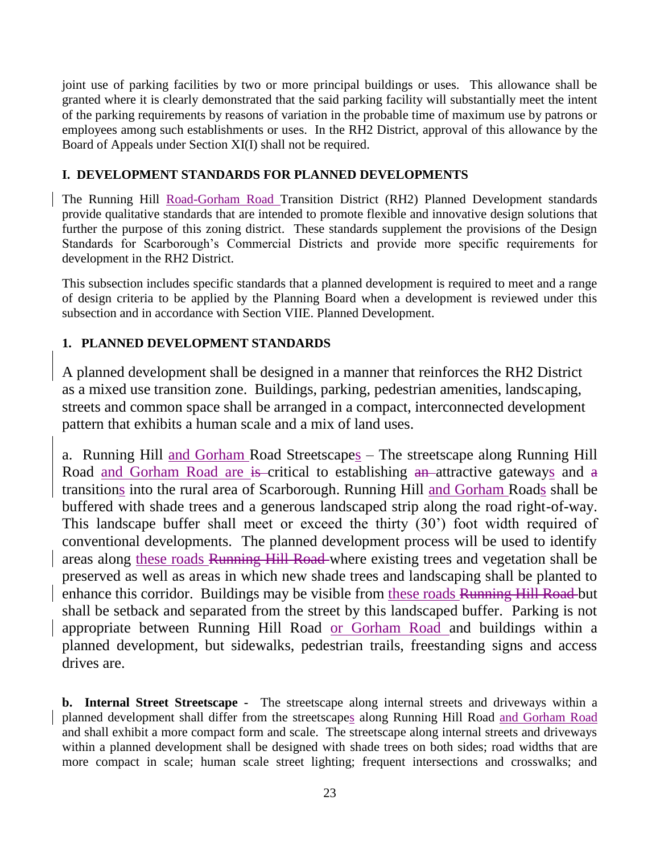joint use of parking facilities by two or more principal buildings or uses. This allowance shall be granted where it is clearly demonstrated that the said parking facility will substantially meet the intent of the parking requirements by reasons of variation in the probable time of maximum use by patrons or employees among such establishments or uses. In the RH2 District, approval of this allowance by the Board of Appeals under Section XI(I) shall not be required.

### **I. DEVELOPMENT STANDARDS FOR PLANNED DEVELOPMENTS**

The Running Hill Road-Gorham Road Transition District (RH2) Planned Development standards provide qualitative standards that are intended to promote flexible and innovative design solutions that further the purpose of this zoning district. These standards supplement the provisions of the Design Standards for Scarborough's Commercial Districts and provide more specific requirements for development in the RH2 District.

This subsection includes specific standards that a planned development is required to meet and a range of design criteria to be applied by the Planning Board when a development is reviewed under this subsection and in accordance with Section VIIE. Planned Development.

## **1. PLANNED DEVELOPMENT STANDARDS**

A planned development shall be designed in a manner that reinforces the RH2 District as a mixed use transition zone. Buildings, parking, pedestrian amenities, landscaping, streets and common space shall be arranged in a compact, interconnected development pattern that exhibits a human scale and a mix of land uses.

a. Running Hill and Gorham Road Streetscapes – The streetscape along Running Hill Road and Gorham Road are is critical to establishing an attractive gateways and a transitions into the rural area of Scarborough. Running Hill and Gorham Roads shall be buffered with shade trees and a generous landscaped strip along the road right-of-way. This landscape buffer shall meet or exceed the thirty (30') foot width required of conventional developments. The planned development process will be used to identify areas along these roads Running Hill Road where existing trees and vegetation shall be preserved as well as areas in which new shade trees and landscaping shall be planted to enhance this corridor. Buildings may be visible from these roads Running Hill Road but shall be setback and separated from the street by this landscaped buffer. Parking is not appropriate between Running Hill Road or Gorham Road and buildings within a planned development, but sidewalks, pedestrian trails, freestanding signs and access drives are.

**b. Internal Street Streetscape -** The streetscape along internal streets and driveways within a planned development shall differ from the streetscapes along Running Hill Road and Gorham Road and shall exhibit a more compact form and scale. The streetscape along internal streets and driveways within a planned development shall be designed with shade trees on both sides; road widths that are more compact in scale; human scale street lighting; frequent intersections and crosswalks; and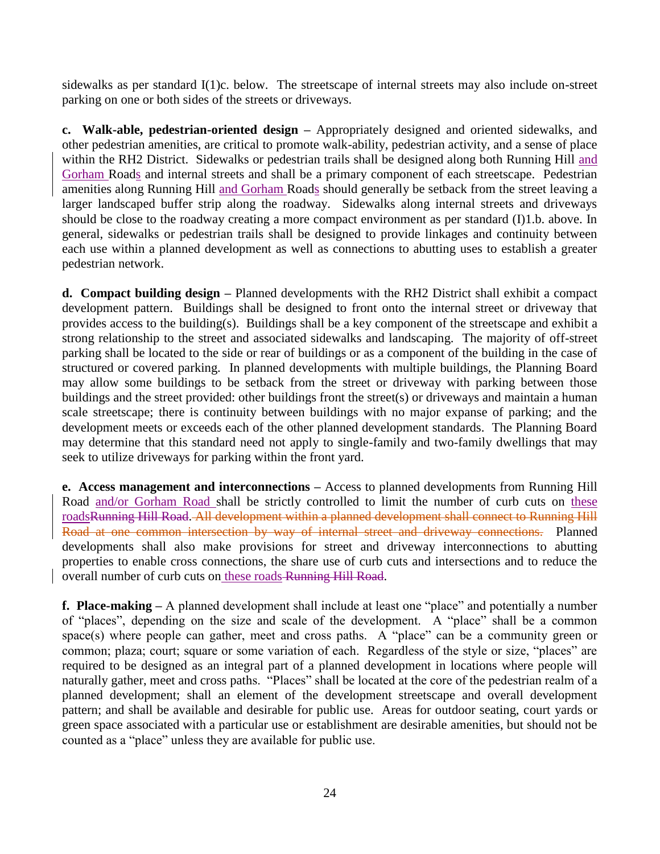sidewalks as per standard I(1)c. below. The streetscape of internal streets may also include on-street parking on one or both sides of the streets or driveways.

**c. Walk-able, pedestrian-oriented design –** Appropriately designed and oriented sidewalks, and other pedestrian amenities, are critical to promote walk-ability, pedestrian activity, and a sense of place within the RH2 District. Sidewalks or pedestrian trails shall be designed along both Running Hill and Gorham Roads and internal streets and shall be a primary component of each streetscape. Pedestrian amenities along Running Hill and Gorham Roads should generally be setback from the street leaving a larger landscaped buffer strip along the roadway. Sidewalks along internal streets and driveways should be close to the roadway creating a more compact environment as per standard (I)1.b. above. In general, sidewalks or pedestrian trails shall be designed to provide linkages and continuity between each use within a planned development as well as connections to abutting uses to establish a greater pedestrian network.

**d. Compact building design –** Planned developments with the RH2 District shall exhibit a compact development pattern. Buildings shall be designed to front onto the internal street or driveway that provides access to the building(s). Buildings shall be a key component of the streetscape and exhibit a strong relationship to the street and associated sidewalks and landscaping. The majority of off-street parking shall be located to the side or rear of buildings or as a component of the building in the case of structured or covered parking. In planned developments with multiple buildings, the Planning Board may allow some buildings to be setback from the street or driveway with parking between those buildings and the street provided: other buildings front the street(s) or driveways and maintain a human scale streetscape; there is continuity between buildings with no major expanse of parking; and the development meets or exceeds each of the other planned development standards. The Planning Board may determine that this standard need not apply to single-family and two-family dwellings that may seek to utilize driveways for parking within the front yard.

**e. Access management and interconnections –** Access to planned developments from Running Hill Road and/or Gorham Road shall be strictly controlled to limit the number of curb cuts on these roadsRunning Hill Road. All development within a planned development shall connect to Running Hill Road at one common intersection by way of internal street and driveway connections. Planned developments shall also make provisions for street and driveway interconnections to abutting properties to enable cross connections, the share use of curb cuts and intersections and to reduce the overall number of curb cuts on these roads Running Hill Road.

**f. Place-making –** A planned development shall include at least one "place" and potentially a number of "places", depending on the size and scale of the development. A "place" shall be a common space(s) where people can gather, meet and cross paths. A "place" can be a community green or common; plaza; court; square or some variation of each. Regardless of the style or size, "places" are required to be designed as an integral part of a planned development in locations where people will naturally gather, meet and cross paths. "Places" shall be located at the core of the pedestrian realm of a planned development; shall an element of the development streetscape and overall development pattern; and shall be available and desirable for public use. Areas for outdoor seating, court yards or green space associated with a particular use or establishment are desirable amenities, but should not be counted as a "place" unless they are available for public use.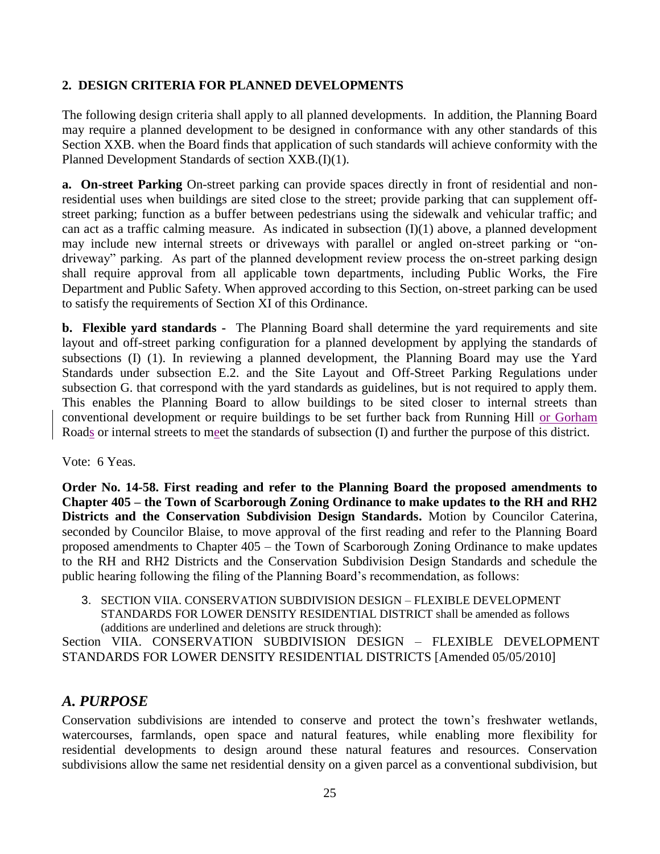### **2. DESIGN CRITERIA FOR PLANNED DEVELOPMENTS**

The following design criteria shall apply to all planned developments. In addition, the Planning Board may require a planned development to be designed in conformance with any other standards of this Section XXB. when the Board finds that application of such standards will achieve conformity with the Planned Development Standards of section XXB.(I)(1).

**a. On-street Parking** On-street parking can provide spaces directly in front of residential and nonresidential uses when buildings are sited close to the street; provide parking that can supplement offstreet parking; function as a buffer between pedestrians using the sidewalk and vehicular traffic; and can act as a traffic calming measure. As indicated in subsection  $(I)(1)$  above, a planned development may include new internal streets or driveways with parallel or angled on-street parking or "ondriveway" parking. As part of the planned development review process the on-street parking design shall require approval from all applicable town departments, including Public Works, the Fire Department and Public Safety. When approved according to this Section, on-street parking can be used to satisfy the requirements of Section XI of this Ordinance.

**b. Flexible yard standards -** The Planning Board shall determine the yard requirements and site layout and off-street parking configuration for a planned development by applying the standards of subsections (I) (1). In reviewing a planned development, the Planning Board may use the Yard Standards under subsection E.2. and the Site Layout and Off-Street Parking Regulations under subsection G. that correspond with the yard standards as guidelines, but is not required to apply them. This enables the Planning Board to allow buildings to be sited closer to internal streets than conventional development or require buildings to be set further back from Running Hill or Gorham Roads or internal streets to meet the standards of subsection (I) and further the purpose of this district.

### Vote: 6 Yeas.

**Order No. 14-58. First reading and refer to the Planning Board the proposed amendments to Chapter 405 – the Town of Scarborough Zoning Ordinance to make updates to the RH and RH2 Districts and the Conservation Subdivision Design Standards.** Motion by Councilor Caterina, seconded by Councilor Blaise, to move approval of the first reading and refer to the Planning Board proposed amendments to Chapter 405 – the Town of Scarborough Zoning Ordinance to make updates to the RH and RH2 Districts and the Conservation Subdivision Design Standards and schedule the public hearing following the filing of the Planning Board's recommendation, as follows:

3. SECTION VIIA. CONSERVATION SUBDIVISION DESIGN – FLEXIBLE DEVELOPMENT STANDARDS FOR LOWER DENSITY RESIDENTIAL DISTRICT shall be amended as follows (additions are underlined and deletions are struck through):

Section VIIA. CONSERVATION SUBDIVISION DESIGN – FLEXIBLE DEVELOPMENT STANDARDS FOR LOWER DENSITY RESIDENTIAL DISTRICTS [Amended 05/05/2010]

## *A. PURPOSE*

Conservation subdivisions are intended to conserve and protect the town's freshwater wetlands, watercourses, farmlands, open space and natural features, while enabling more flexibility for residential developments to design around these natural features and resources. Conservation subdivisions allow the same net residential density on a given parcel as a conventional subdivision, but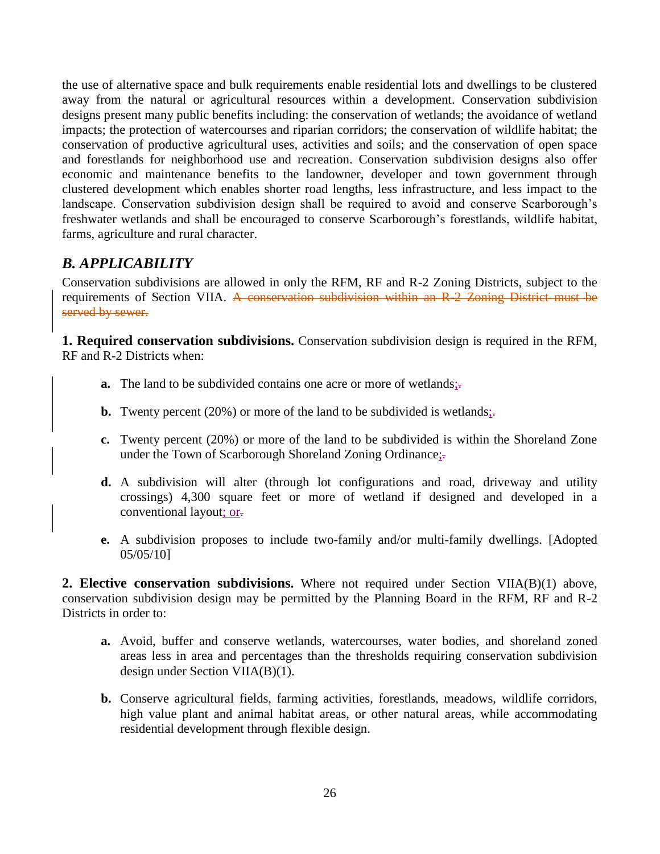the use of alternative space and bulk requirements enable residential lots and dwellings to be clustered away from the natural or agricultural resources within a development. Conservation subdivision designs present many public benefits including: the conservation of wetlands; the avoidance of wetland impacts; the protection of watercourses and riparian corridors; the conservation of wildlife habitat; the conservation of productive agricultural uses, activities and soils; and the conservation of open space and forestlands for neighborhood use and recreation. Conservation subdivision designs also offer economic and maintenance benefits to the landowner, developer and town government through clustered development which enables shorter road lengths, less infrastructure, and less impact to the landscape. Conservation subdivision design shall be required to avoid and conserve Scarborough's freshwater wetlands and shall be encouraged to conserve Scarborough's forestlands, wildlife habitat, farms, agriculture and rural character.

# *B. APPLICABILITY*

Conservation subdivisions are allowed in only the RFM, RF and R-2 Zoning Districts, subject to the requirements of Section VIIA. A conservation subdivision within an R-2 Zoning District must be served by sewer.

**1. Required conservation subdivisions.** Conservation subdivision design is required in the RFM, RF and R-2 Districts when:

- **a.** The land to be subdivided contains one acre or more of wetlands;
- **b.** Twenty percent (20%) or more of the land to be subdivided is wetlands;
- **c.** Twenty percent (20%) or more of the land to be subdivided is within the Shoreland Zone under the Town of Scarborough Shoreland Zoning Ordinance;-
- **d.** A subdivision will alter (through lot configurations and road, driveway and utility crossings) 4,300 square feet or more of wetland if designed and developed in a conventional layout; or.
- **e.** A subdivision proposes to include two-family and/or multi-family dwellings. [Adopted 05/05/10]

**2. Elective conservation subdivisions.** Where not required under Section VIIA(B)(1) above, conservation subdivision design may be permitted by the Planning Board in the RFM, RF and R-2 Districts in order to:

- **a.** Avoid, buffer and conserve wetlands, watercourses, water bodies, and shoreland zoned areas less in area and percentages than the thresholds requiring conservation subdivision design under Section VIIA(B)(1).
- **b.** Conserve agricultural fields, farming activities, forestlands, meadows, wildlife corridors, high value plant and animal habitat areas, or other natural areas, while accommodating residential development through flexible design.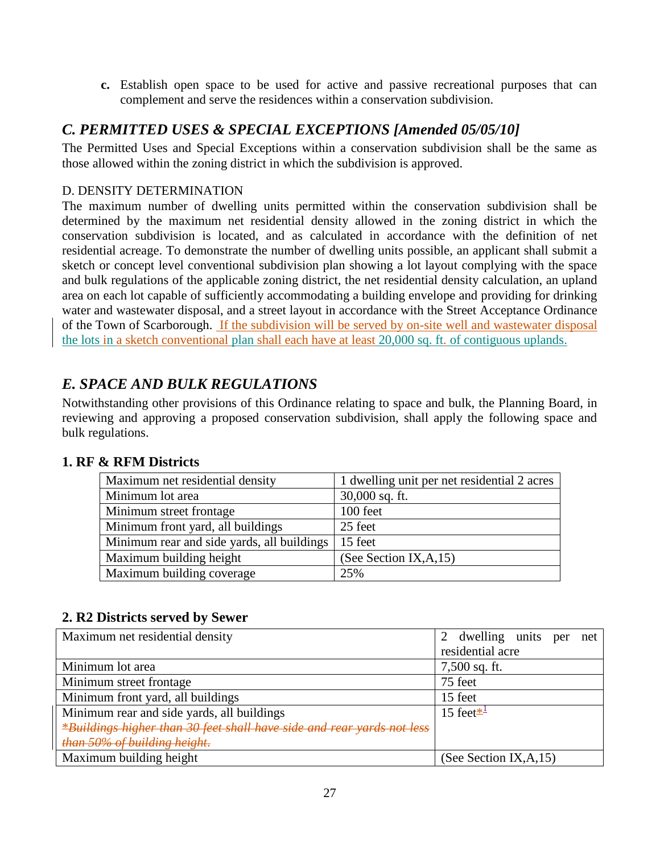**c.** Establish open space to be used for active and passive recreational purposes that can complement and serve the residences within a conservation subdivision.

# *C. PERMITTED USES & SPECIAL EXCEPTIONS [Amended 05/05/10]*

The Permitted Uses and Special Exceptions within a conservation subdivision shall be the same as those allowed within the zoning district in which the subdivision is approved.

### D. DENSITY DETERMINATION

The maximum number of dwelling units permitted within the conservation subdivision shall be determined by the maximum net residential density allowed in the zoning district in which the conservation subdivision is located, and as calculated in accordance with the definition of net residential acreage. To demonstrate the number of dwelling units possible, an applicant shall submit a sketch or concept level conventional subdivision plan showing a lot layout complying with the space and bulk regulations of the applicable zoning district, the net residential density calculation, an upland area on each lot capable of sufficiently accommodating a building envelope and providing for drinking water and wastewater disposal, and a street layout in accordance with the Street Acceptance Ordinance of the Town of Scarborough. If the subdivision will be served by on-site well and wastewater disposal the lots in a sketch conventional plan shall each have at least 20,000 sq. ft. of contiguous uplands.

# *E. SPACE AND BULK REGULATIONS*

Notwithstanding other provisions of this Ordinance relating to space and bulk, the Planning Board, in reviewing and approving a proposed conservation subdivision, shall apply the following space and bulk regulations.

## **1. RF & RFM Districts**

| Maximum net residential density            | 1 dwelling unit per net residential 2 acres |
|--------------------------------------------|---------------------------------------------|
| Minimum lot area                           | $30,000$ sq. ft.                            |
| Minimum street frontage                    | 100 feet                                    |
| Minimum front yard, all buildings          | 25 feet                                     |
| Minimum rear and side yards, all buildings | 15 feet                                     |
| Maximum building height                    | (See Section IX, A, $15$ )                  |
| Maximum building coverage                  | 25%                                         |

### **2. R2 Districts served by Sewer**

| Maximum net residential density                                        | dwelling units per<br>net    |
|------------------------------------------------------------------------|------------------------------|
|                                                                        | residential acre             |
| Minimum lot area                                                       | 7,500 sq. ft.                |
| Minimum street frontage                                                | 75 feet                      |
| Minimum front yard, all buildings                                      | 15 feet                      |
| Minimum rear and side yards, all buildings                             | 15 feet $\mathbb{Z}^{\perp}$ |
| *Buildings higher than 30 feet shall have side and rear yards not less |                              |
| than 50% of building height.                                           |                              |
| Maximum building height                                                | (See Section IX, A, $15$ )   |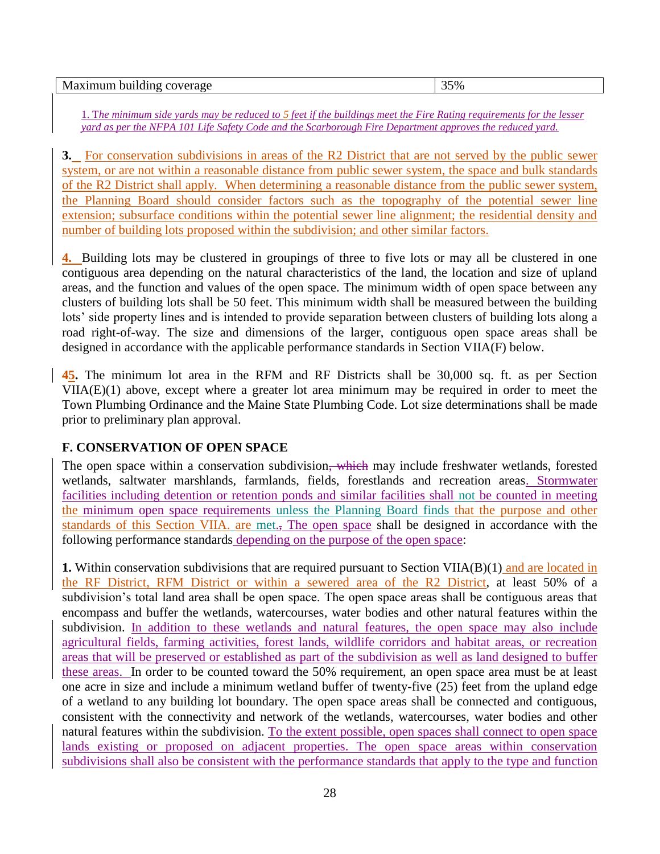| Maximum building coverage<br>ີ ຼິດ<br>^שר<br>70<br>$\sim$ |
|-----------------------------------------------------------|
|-----------------------------------------------------------|

1. T*he minimum side yards may be reduced to 5 feet if the buildings meet the Fire Rating requirements for the lesser yard as per the NFPA 101 Life Safety Code and the Scarborough Fire Department approves the reduced yard.* 

**3.** For conservation subdivisions in areas of the R2 District that are not served by the public sewer system, or are not within a reasonable distance from public sewer system, the space and bulk standards of the R2 District shall apply. When determining a reasonable distance from the public sewer system, the Planning Board should consider factors such as the topography of the potential sewer line extension; subsurface conditions within the potential sewer line alignment; the residential density and number of building lots proposed within the subdivision; and other similar factors.

**4.** Building lots may be clustered in groupings of three to five lots or may all be clustered in one contiguous area depending on the natural characteristics of the land, the location and size of upland areas, and the function and values of the open space. The minimum width of open space between any clusters of building lots shall be 50 feet. This minimum width shall be measured between the building lots' side property lines and is intended to provide separation between clusters of building lots along a road right-of-way. The size and dimensions of the larger, contiguous open space areas shall be designed in accordance with the applicable performance standards in Section VIIA(F) below.

**45.** The minimum lot area in the RFM and RF Districts shall be 30,000 sq. ft. as per Section VIIA(E)(1) above, except where a greater lot area minimum may be required in order to meet the Town Plumbing Ordinance and the Maine State Plumbing Code. Lot size determinations shall be made prior to preliminary plan approval.

### **F. CONSERVATION OF OPEN SPACE**

The open space within a conservation subdivision, which may include freshwater wetlands, forested wetlands, saltwater marshlands, farmlands, fields, forestlands and recreation areas. Stormwater facilities including detention or retention ponds and similar facilities shall not be counted in meeting the minimum open space requirements unless the Planning Board finds that the purpose and other standards of this Section VIIA. are met., The open space shall be designed in accordance with the following performance standards depending on the purpose of the open space:

**1.** Within conservation subdivisions that are required pursuant to Section VIIA(B)(1) and are located in the RF District, RFM District or within a sewered area of the R2 District, at least 50% of a subdivision's total land area shall be open space. The open space areas shall be contiguous areas that encompass and buffer the wetlands, watercourses, water bodies and other natural features within the subdivision. In addition to these wetlands and natural features, the open space may also include agricultural fields, farming activities, forest lands, wildlife corridors and habitat areas, or recreation areas that will be preserved or established as part of the subdivision as well as land designed to buffer these areas. In order to be counted toward the 50% requirement, an open space area must be at least one acre in size and include a minimum wetland buffer of twenty-five (25) feet from the upland edge of a wetland to any building lot boundary. The open space areas shall be connected and contiguous, consistent with the connectivity and network of the wetlands, watercourses, water bodies and other natural features within the subdivision. To the extent possible, open spaces shall connect to open space lands existing or proposed on adjacent properties. The open space areas within conservation subdivisions shall also be consistent with the performance standards that apply to the type and function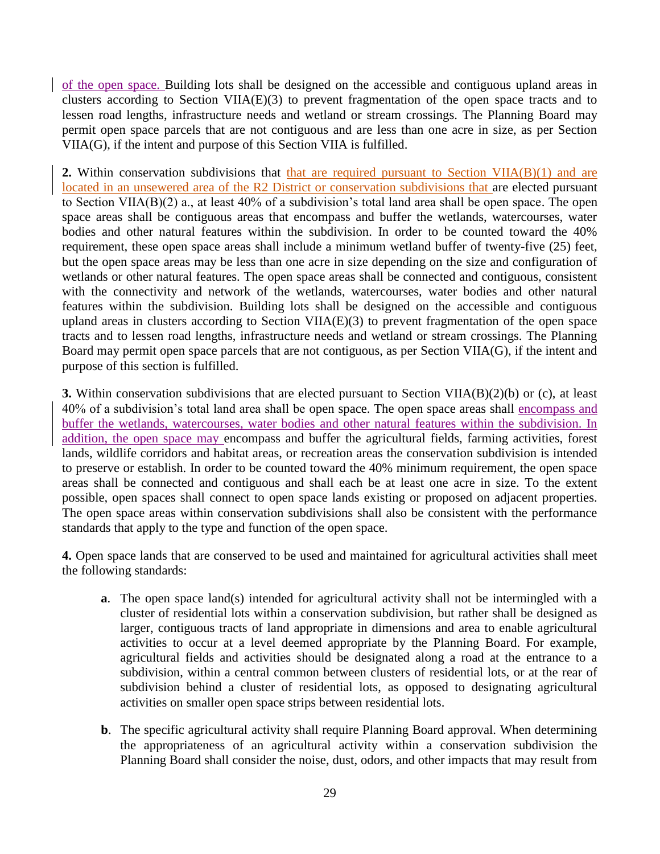of the open space. Building lots shall be designed on the accessible and contiguous upland areas in clusters according to Section VIIA(E)(3) to prevent fragmentation of the open space tracts and to lessen road lengths, infrastructure needs and wetland or stream crossings. The Planning Board may permit open space parcels that are not contiguous and are less than one acre in size, as per Section VIIA(G), if the intent and purpose of this Section VIIA is fulfilled.

**2.** Within conservation subdivisions that that are required pursuant to Section VIIA(B)(1) and are located in an unsewered area of the R2 District or conservation subdivisions that are elected pursuant to Section VIIA(B)(2) a., at least 40% of a subdivision's total land area shall be open space. The open space areas shall be contiguous areas that encompass and buffer the wetlands, watercourses, water bodies and other natural features within the subdivision. In order to be counted toward the 40% requirement, these open space areas shall include a minimum wetland buffer of twenty-five (25) feet, but the open space areas may be less than one acre in size depending on the size and configuration of wetlands or other natural features. The open space areas shall be connected and contiguous, consistent with the connectivity and network of the wetlands, watercourses, water bodies and other natural features within the subdivision. Building lots shall be designed on the accessible and contiguous upland areas in clusters according to Section VIIA(E)(3) to prevent fragmentation of the open space tracts and to lessen road lengths, infrastructure needs and wetland or stream crossings. The Planning Board may permit open space parcels that are not contiguous, as per Section VIIA(G), if the intent and purpose of this section is fulfilled.

**3.** Within conservation subdivisions that are elected pursuant to Section VIIA(B)(2)(b) or (c), at least 40% of a subdivision's total land area shall be open space. The open space areas shall encompass and buffer the wetlands, watercourses, water bodies and other natural features within the subdivision. In addition, the open space may encompass and buffer the agricultural fields, farming activities, forest lands, wildlife corridors and habitat areas, or recreation areas the conservation subdivision is intended to preserve or establish. In order to be counted toward the 40% minimum requirement, the open space areas shall be connected and contiguous and shall each be at least one acre in size. To the extent possible, open spaces shall connect to open space lands existing or proposed on adjacent properties. The open space areas within conservation subdivisions shall also be consistent with the performance standards that apply to the type and function of the open space.

**4.** Open space lands that are conserved to be used and maintained for agricultural activities shall meet the following standards:

- **a**. The open space land(s) intended for agricultural activity shall not be intermingled with a cluster of residential lots within a conservation subdivision, but rather shall be designed as larger, contiguous tracts of land appropriate in dimensions and area to enable agricultural activities to occur at a level deemed appropriate by the Planning Board. For example, agricultural fields and activities should be designated along a road at the entrance to a subdivision, within a central common between clusters of residential lots, or at the rear of subdivision behind a cluster of residential lots, as opposed to designating agricultural activities on smaller open space strips between residential lots.
- **b**. The specific agricultural activity shall require Planning Board approval. When determining the appropriateness of an agricultural activity within a conservation subdivision the Planning Board shall consider the noise, dust, odors, and other impacts that may result from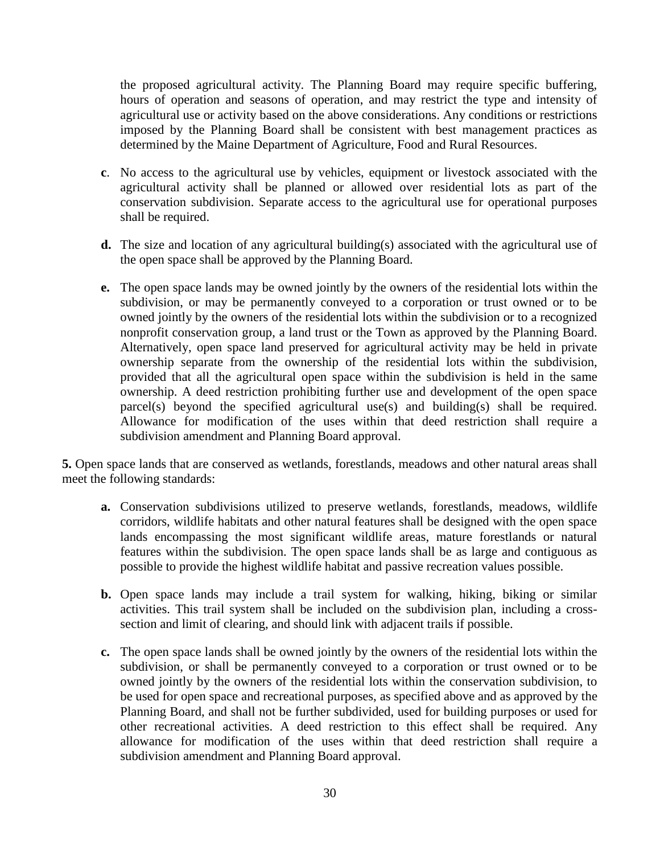the proposed agricultural activity. The Planning Board may require specific buffering, hours of operation and seasons of operation, and may restrict the type and intensity of agricultural use or activity based on the above considerations. Any conditions or restrictions imposed by the Planning Board shall be consistent with best management practices as determined by the Maine Department of Agriculture, Food and Rural Resources.

- **c**. No access to the agricultural use by vehicles, equipment or livestock associated with the agricultural activity shall be planned or allowed over residential lots as part of the conservation subdivision. Separate access to the agricultural use for operational purposes shall be required.
- **d.** The size and location of any agricultural building(s) associated with the agricultural use of the open space shall be approved by the Planning Board.
- **e.** The open space lands may be owned jointly by the owners of the residential lots within the subdivision, or may be permanently conveyed to a corporation or trust owned or to be owned jointly by the owners of the residential lots within the subdivision or to a recognized nonprofit conservation group, a land trust or the Town as approved by the Planning Board. Alternatively, open space land preserved for agricultural activity may be held in private ownership separate from the ownership of the residential lots within the subdivision, provided that all the agricultural open space within the subdivision is held in the same ownership. A deed restriction prohibiting further use and development of the open space parcel(s) beyond the specified agricultural use(s) and building(s) shall be required. Allowance for modification of the uses within that deed restriction shall require a subdivision amendment and Planning Board approval.

**5.** Open space lands that are conserved as wetlands, forestlands, meadows and other natural areas shall meet the following standards:

- **a.** Conservation subdivisions utilized to preserve wetlands, forestlands, meadows, wildlife corridors, wildlife habitats and other natural features shall be designed with the open space lands encompassing the most significant wildlife areas, mature forestlands or natural features within the subdivision. The open space lands shall be as large and contiguous as possible to provide the highest wildlife habitat and passive recreation values possible.
- **b.** Open space lands may include a trail system for walking, hiking, biking or similar activities. This trail system shall be included on the subdivision plan, including a crosssection and limit of clearing, and should link with adjacent trails if possible.
- **c.** The open space lands shall be owned jointly by the owners of the residential lots within the subdivision, or shall be permanently conveyed to a corporation or trust owned or to be owned jointly by the owners of the residential lots within the conservation subdivision, to be used for open space and recreational purposes, as specified above and as approved by the Planning Board, and shall not be further subdivided, used for building purposes or used for other recreational activities. A deed restriction to this effect shall be required. Any allowance for modification of the uses within that deed restriction shall require a subdivision amendment and Planning Board approval.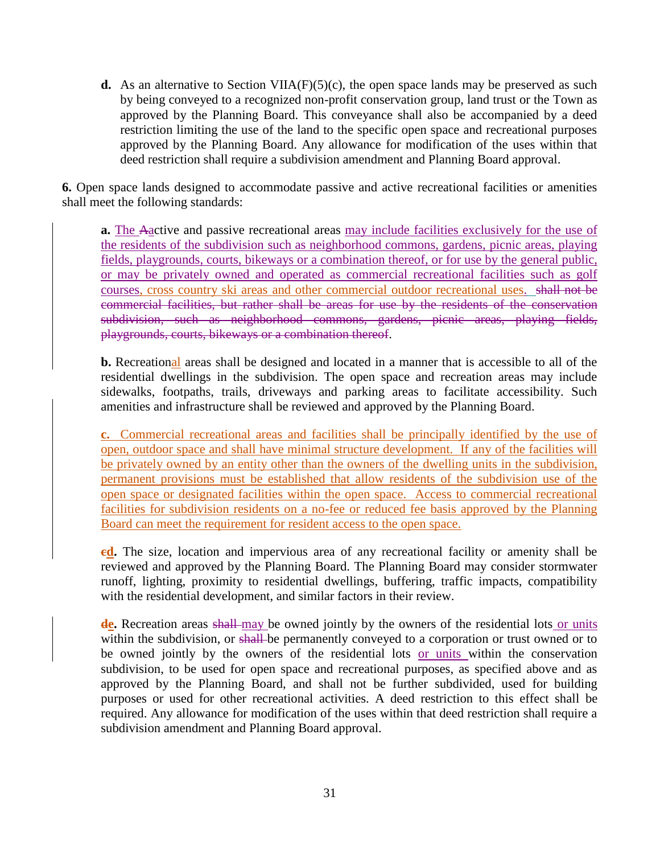**d.** As an alternative to Section VIIA( $F$ )( $5$ )(c), the open space lands may be preserved as such by being conveyed to a recognized non-profit conservation group, land trust or the Town as approved by the Planning Board. This conveyance shall also be accompanied by a deed restriction limiting the use of the land to the specific open space and recreational purposes approved by the Planning Board. Any allowance for modification of the uses within that deed restriction shall require a subdivision amendment and Planning Board approval.

**6.** Open space lands designed to accommodate passive and active recreational facilities or amenities shall meet the following standards:

**a.** The Aactive and passive recreational areas may include facilities exclusively for the use of the residents of the subdivision such as neighborhood commons, gardens, picnic areas, playing fields, playgrounds, courts, bikeways or a combination thereof, or for use by the general public, or may be privately owned and operated as commercial recreational facilities such as golf courses, cross country ski areas and other commercial outdoor recreational uses. shall not be commercial facilities, but rather shall be areas for use by the residents of the conservation subdivision, such as neighborhood commons, gardens, picnic areas, playing fields, playgrounds, courts, bikeways or a combination thereof.

**b.** Recreational areas shall be designed and located in a manner that is accessible to all of the residential dwellings in the subdivision. The open space and recreation areas may include sidewalks, footpaths, trails, driveways and parking areas to facilitate accessibility. Such amenities and infrastructure shall be reviewed and approved by the Planning Board.

**c.** Commercial recreational areas and facilities shall be principally identified by the use of open, outdoor space and shall have minimal structure development. If any of the facilities will be privately owned by an entity other than the owners of the dwelling units in the subdivision, permanent provisions must be established that allow residents of the subdivision use of the open space or designated facilities within the open space. Access to commercial recreational facilities for subdivision residents on a no-fee or reduced fee basis approved by the Planning Board can meet the requirement for resident access to the open space.

**cd.** The size, location and impervious area of any recreational facility or amenity shall be reviewed and approved by the Planning Board. The Planning Board may consider stormwater runoff, lighting, proximity to residential dwellings, buffering, traffic impacts, compatibility with the residential development, and similar factors in their review.

de. Recreation areas shall may be owned jointly by the owners of the residential lots or units within the subdivision, or shall be permanently conveyed to a corporation or trust owned or to be owned jointly by the owners of the residential lots or units within the conservation subdivision, to be used for open space and recreational purposes, as specified above and as approved by the Planning Board, and shall not be further subdivided, used for building purposes or used for other recreational activities. A deed restriction to this effect shall be required. Any allowance for modification of the uses within that deed restriction shall require a subdivision amendment and Planning Board approval.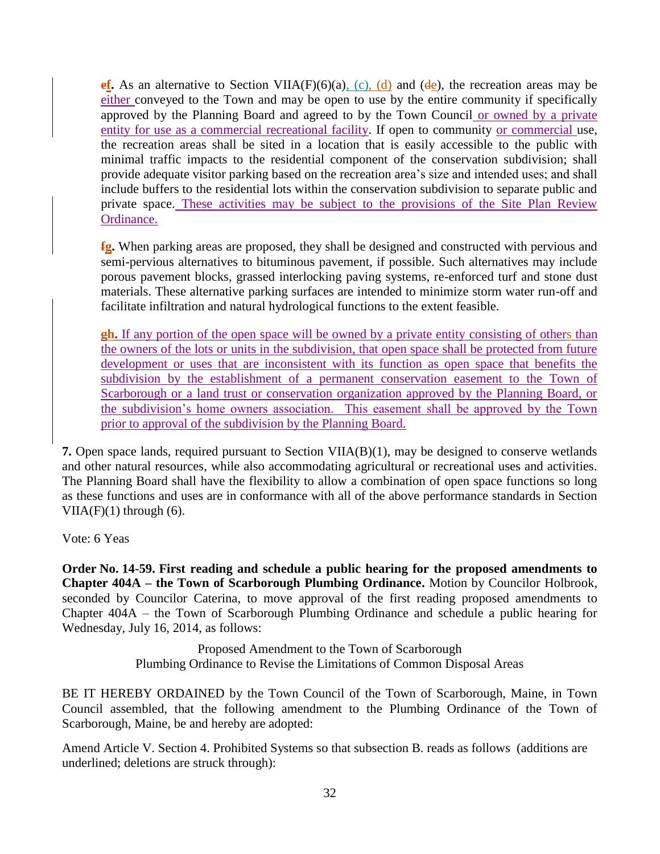**ef.** As an alternative to Section VIIA(F)(6)(a), (c), (d) and (de), the recreation areas may be either conveyed to the Town and may be open to use by the entire community if specifically approved by the Planning Board and agreed to by the Town Council or owned by a private entity for use as a commercial recreational facility. If open to community or commercial use, the recreation areas shall be sited in a location that is easily accessible to the public with minimal traffic impacts to the residential component of the conservation subdivision; shall provide adequate visitor parking based on the recreation area's size and intended uses; and shall include buffers to the residential lots within the conservation subdivision to separate public and private space. These activities may be subject to the provisions of the Site Plan Review Ordinance.

**fg.** When parking areas are proposed, they shall be designed and constructed with pervious and semi-pervious alternatives to bituminous pavement, if possible. Such alternatives may include porous pavement blocks, grassed interlocking paving systems, re-enforced turf and stone dust materials. These alternative parking surfaces are intended to minimize storm water run-off and facilitate infiltration and natural hydrological functions to the extent feasible.

**gh.** If any portion of the open space will be owned by a private entity consisting of others than the owners of the lots or units in the subdivision, that open space shall be protected from future development or uses that are inconsistent with its function as open space that benefits the subdivision by the establishment of a permanent conservation easement to the Town of Scarborough or a land trust or conservation organization approved by the Planning Board, or the subdivision's home owners association. This easement shall be approved by the Town prior to approval of the subdivision by the Planning Board.

**7.** Open space lands, required pursuant to Section VIIA(B)(1), may be designed to conserve wetlands and other natural resources, while also accommodating agricultural or recreational uses and activities. The Planning Board shall have the flexibility to allow a combination of open space functions so long as these functions and uses are in conformance with all of the above performance standards in Section  $VIIA(F)(1)$  through  $(6)$ .

Vote: 6 Yeas

**Order No. 14-59. First reading and schedule a public hearing for the proposed amendments to Chapter 404A – the Town of Scarborough Plumbing Ordinance.** Motion by Councilor Holbrook, seconded by Councilor Caterina, to move approval of the first reading proposed amendments to Chapter 404A – the Town of Scarborough Plumbing Ordinance and schedule a public hearing for Wednesday, July 16, 2014, as follows:

> Proposed Amendment to the Town of Scarborough Plumbing Ordinance to Revise the Limitations of Common Disposal Areas

BE IT HEREBY ORDAINED by the Town Council of the Town of Scarborough, Maine, in Town Council assembled, that the following amendment to the Plumbing Ordinance of the Town of Scarborough, Maine, be and hereby are adopted:

Amend Article V. Section 4. Prohibited Systems so that subsection B. reads as follows (additions are underlined; deletions are struck through):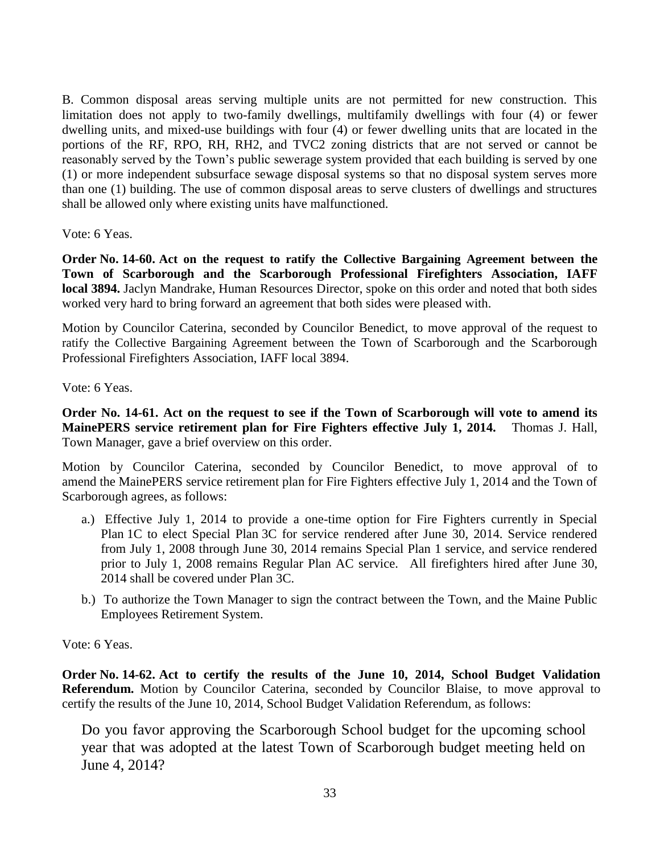B. Common disposal areas serving multiple units are not permitted for new construction. This limitation does not apply to two-family dwellings, multifamily dwellings with four (4) or fewer dwelling units, and mixed-use buildings with four (4) or fewer dwelling units that are located in the portions of the RF, RPO, RH, RH2, and TVC2 zoning districts that are not served or cannot be reasonably served by the Town's public sewerage system provided that each building is served by one (1) or more independent subsurface sewage disposal systems so that no disposal system serves more than one (1) building. The use of common disposal areas to serve clusters of dwellings and structures shall be allowed only where existing units have malfunctioned.

Vote: 6 Yeas.

**Order No. 14-60. Act on the request to ratify the Collective Bargaining Agreement between the Town of Scarborough and the Scarborough Professional Firefighters Association, IAFF local 3894.** Jaclyn Mandrake, Human Resources Director, spoke on this order and noted that both sides worked very hard to bring forward an agreement that both sides were pleased with.

Motion by Councilor Caterina, seconded by Councilor Benedict, to move approval of the request to ratify the Collective Bargaining Agreement between the Town of Scarborough and the Scarborough Professional Firefighters Association, IAFF local 3894.

Vote: 6 Yeas.

**Order No. 14-61. Act on the request to see if the Town of Scarborough will vote to amend its MainePERS service retirement plan for Fire Fighters effective July 1, 2014.** Thomas J. Hall, Town Manager, gave a brief overview on this order.

Motion by Councilor Caterina, seconded by Councilor Benedict, to move approval of to amend the MainePERS service retirement plan for Fire Fighters effective July 1, 2014 and the Town of Scarborough agrees, as follows:

- a.) Effective July 1, 2014 to provide a one-time option for Fire Fighters currently in Special Plan 1C to elect Special Plan 3C for service rendered after June 30, 2014. Service rendered from July 1, 2008 through June 30, 2014 remains Special Plan 1 service, and service rendered prior to July 1, 2008 remains Regular Plan AC service. All firefighters hired after June 30, 2014 shall be covered under Plan 3C.
- b.) To authorize the Town Manager to sign the contract between the Town, and the Maine Public Employees Retirement System.

Vote: 6 Yeas.

**Order No. 14-62. Act to certify the results of the June 10, 2014, School Budget Validation Referendum.** Motion by Councilor Caterina, seconded by Councilor Blaise, to move approval to certify the results of the June 10, 2014, School Budget Validation Referendum, as follows:

Do you favor approving the Scarborough School budget for the upcoming school year that was adopted at the latest Town of Scarborough budget meeting held on June 4, 2014?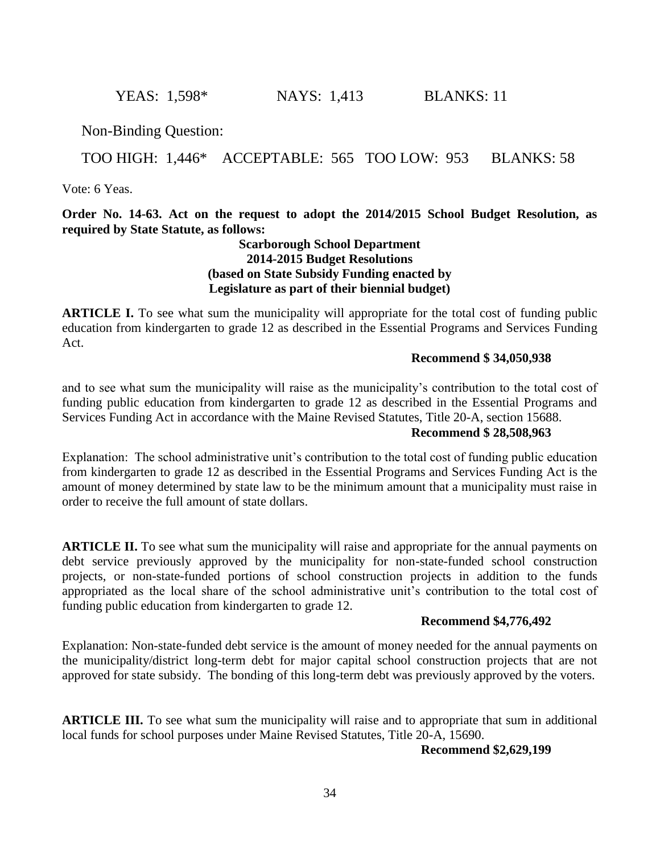**YEAS:** 1,598\* **NAYS:** 1,413 **BLANKS:** 11

Non-Binding Question:

### TOO HIGH: 1,446\* ACCEPTABLE: 565 TOO LOW: 953 BLANKS: 58

Vote: 6 Yeas.

**Order No. 14-63. Act on the request to adopt the 2014/2015 School Budget Resolution, as required by State Statute, as follows:**

### **Scarborough School Department 2014-2015 Budget Resolutions (based on State Subsidy Funding enacted by Legislature as part of their biennial budget)**

**ARTICLE I.** To see what sum the municipality will appropriate for the total cost of funding public education from kindergarten to grade 12 as described in the Essential Programs and Services Funding Act.

### **Recommend \$ 34,050,938**

and to see what sum the municipality will raise as the municipality's contribution to the total cost of funding public education from kindergarten to grade 12 as described in the Essential Programs and Services Funding Act in accordance with the Maine Revised Statutes, Title 20-A, section 15688.

#### **Recommend \$ 28,508,963**

Explanation: The school administrative unit's contribution to the total cost of funding public education from kindergarten to grade 12 as described in the Essential Programs and Services Funding Act is the amount of money determined by state law to be the minimum amount that a municipality must raise in order to receive the full amount of state dollars.

**ARTICLE II.** To see what sum the municipality will raise and appropriate for the annual payments on debt service previously approved by the municipality for non-state-funded school construction projects, or non-state-funded portions of school construction projects in addition to the funds appropriated as the local share of the school administrative unit's contribution to the total cost of funding public education from kindergarten to grade 12.

#### **Recommend \$4,776,492**

Explanation: Non-state-funded debt service is the amount of money needed for the annual payments on the municipality/district long-term debt for major capital school construction projects that are not approved for state subsidy. The bonding of this long-term debt was previously approved by the voters.

**ARTICLE III.** To see what sum the municipality will raise and to appropriate that sum in additional local funds for school purposes under Maine Revised Statutes, Title 20-A, 15690.

### **Recommend \$2,629,199**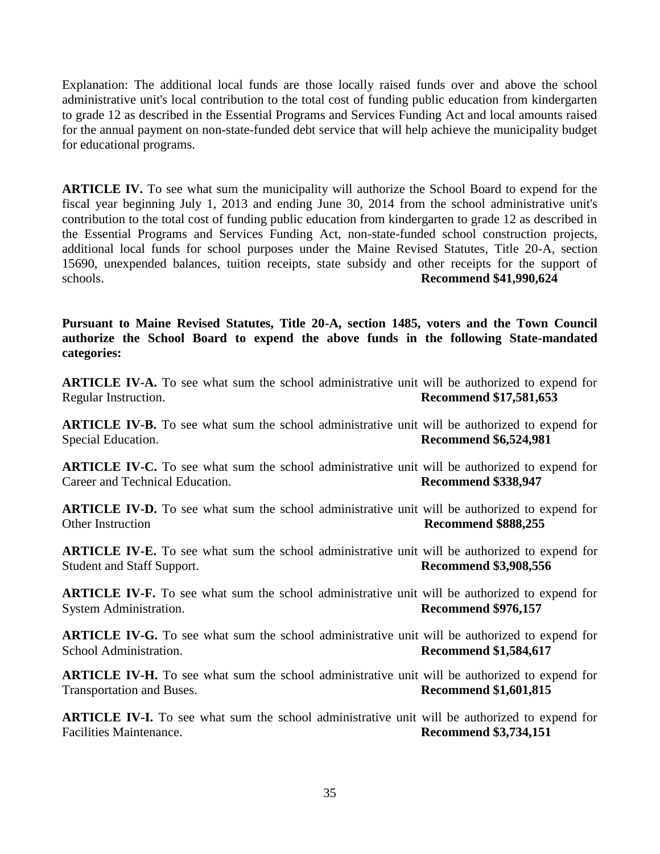Explanation: The additional local funds are those locally raised funds over and above the school administrative unit's local contribution to the total cost of funding public education from kindergarten to grade 12 as described in the Essential Programs and Services Funding Act and local amounts raised for the annual payment on non-state-funded debt service that will help achieve the municipality budget for educational programs.

**ARTICLE IV.** To see what sum the municipality will authorize the School Board to expend for the fiscal year beginning July 1, 2013 and ending June 30, 2014 from the school administrative unit's contribution to the total cost of funding public education from kindergarten to grade 12 as described in the Essential Programs and Services Funding Act, non-state-funded school construction projects, additional local funds for school purposes under the Maine Revised Statutes, Title 20-A, section 15690, unexpended balances, tuition receipts, state subsidy and other receipts for the support of schools. **Recommend \$41,990,624**

**Pursuant to Maine Revised Statutes, Title 20-A, section 1485, voters and the Town Council authorize the School Board to expend the above funds in the following State-mandated categories:**

**ARTICLE IV-A.** To see what sum the school administrative unit will be authorized to expend for Regular Instruction. **Recommend \$17,581,653**

**ARTICLE IV-B.** To see what sum the school administrative unit will be authorized to expend for Special Education. **Recommend \$6,524,981**

**ARTICLE IV-C.** To see what sum the school administrative unit will be authorized to expend for Career and Technical Education. **Recommend \$338,947**

**ARTICLE IV-D.** To see what sum the school administrative unit will be authorized to expend for Other Instruction **Recommend \$888,255** 

**ARTICLE IV-E.** To see what sum the school administrative unit will be authorized to expend for Student and Staff Support. **Recommend \$3,908,556**

**ARTICLE IV-F.** To see what sum the school administrative unit will be authorized to expend for System Administration. **Recommend \$976,157**

**ARTICLE IV-G.** To see what sum the school administrative unit will be authorized to expend for School Administration. **Recommend \$1,584,617**

**ARTICLE IV-H.** To see what sum the school administrative unit will be authorized to expend for Transportation and Buses. **Recommend \$1,601,815**

**ARTICLE IV-I.** To see what sum the school administrative unit will be authorized to expend for Facilities Maintenance. **Recommend \$3,734,151**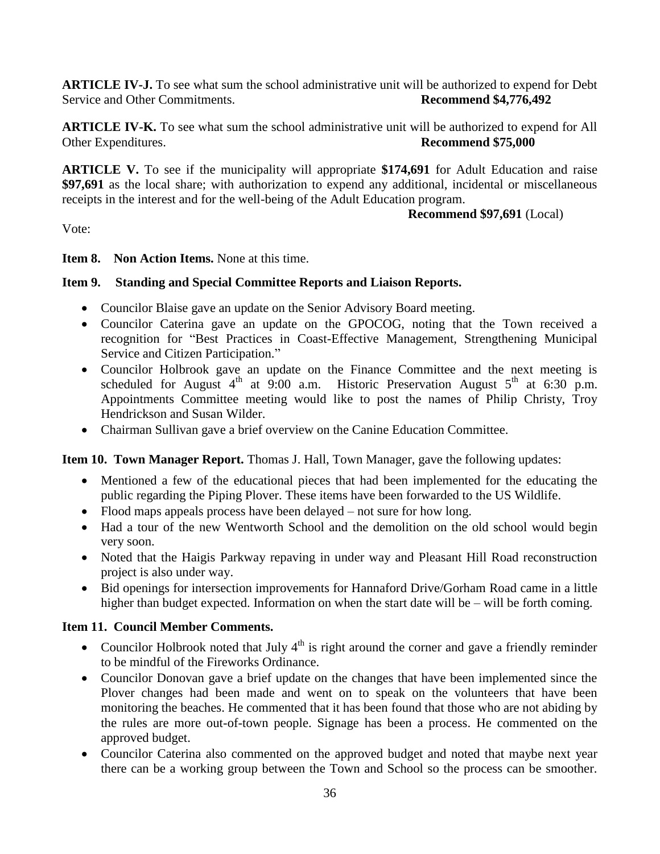**ARTICLE IV-J.** To see what sum the school administrative unit will be authorized to expend for Debt Service and Other Commitments. **Recommend \$4,776,492**

**ARTICLE IV-K.** To see what sum the school administrative unit will be authorized to expend for All Other Expenditures. **Recommend \$75,000** 

**ARTICLE V.** To see if the municipality will appropriate **\$174,691** for Adult Education and raise **\$97,691** as the local share; with authorization to expend any additional, incidental or miscellaneous receipts in the interest and for the well-being of the Adult Education program.

 **Recommend \$97,691** (Local)

Vote:

### **Item 8. Non Action Items.** None at this time.

### **Item 9. Standing and Special Committee Reports and Liaison Reports.**

- Councilor Blaise gave an update on the Senior Advisory Board meeting.
- Councilor Caterina gave an update on the GPOCOG, noting that the Town received a recognition for "Best Practices in Coast-Effective Management, Strengthening Municipal Service and Citizen Participation."
- Councilor Holbrook gave an update on the Finance Committee and the next meeting is scheduled for August  $4<sup>th</sup>$  at 9:00 a.m. Historic Preservation August  $5<sup>th</sup>$  at 6:30 p.m. Appointments Committee meeting would like to post the names of Philip Christy, Troy Hendrickson and Susan Wilder.
- Chairman Sullivan gave a brief overview on the Canine Education Committee.

**Item 10. Town Manager Report.** Thomas J. Hall, Town Manager, gave the following updates:

- Mentioned a few of the educational pieces that had been implemented for the educating the public regarding the Piping Plover. These items have been forwarded to the US Wildlife.
- Flood maps appeals process have been delayed not sure for how long.
- Had a tour of the new Wentworth School and the demolition on the old school would begin very soon.
- Noted that the Haigis Parkway repaving in under way and Pleasant Hill Road reconstruction project is also under way.
- Bid openings for intersection improvements for Hannaford Drive/Gorham Road came in a little higher than budget expected. Information on when the start date will be – will be forth coming.

### **Item 11. Council Member Comments.**

- Councilor Holbrook noted that July  $4<sup>th</sup>$  is right around the corner and gave a friendly reminder to be mindful of the Fireworks Ordinance.
- Councilor Donovan gave a brief update on the changes that have been implemented since the Plover changes had been made and went on to speak on the volunteers that have been monitoring the beaches. He commented that it has been found that those who are not abiding by the rules are more out-of-town people. Signage has been a process. He commented on the approved budget.
- Councilor Caterina also commented on the approved budget and noted that maybe next year there can be a working group between the Town and School so the process can be smoother.